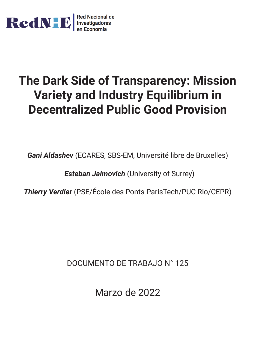

# **The Dark Side of Transparency: Mission Variety and Industry Equilibrium in Decentralized Public Good Provision**

*Gani Aldashev* (ECARES, SBS-EM, Université libre de Bruxelles)

*Esteban Jaimovich* (University of Surrey)

*Thierry Verdier* (PSE/École des Ponts-ParisTech/PUC Rio/CEPR)

DOCUMENTO DE TRABAJO N° 125

Marzo de 2022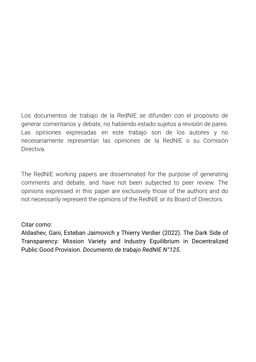Los documentos de trabajo de la RedNIE se difunden con el propósito de generar comentarios y debate, no habiendo estado sujetos a revisión de pares. Las opiniones expresadas en este trabajo son de los autores y no necesariamente representan las opiniones de la RedNIE o su Comisión **Directiva** 

The RedNIE working papers are disseminated for the purpose of generating comments and debate, and have not been subjected to peer review. The opinions expressed in this paper are exclusively those of the authors and do not necessarily represent the opinions of the RedNIE or its Board of Directors.

## Citar como:

Aldashev, Gani, Esteban Jaimovich y Thierry Verdier (2022). The Dark Side of Transparency: Mission Variety and Industry Equilibrium in Decentralized Public Good Provision. *Documento de trabajo RedNIE N°125*.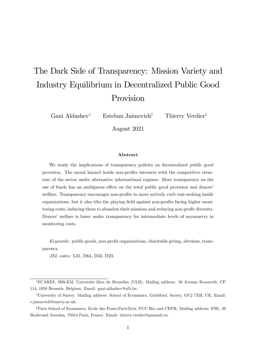## The Dark Side of Transparency: Mission Variety and Industry Equilibrium in Decentralized Public Good Provision

Gani Aldashev! Esteban Jaimovich† Thierry Verdier‡

August 2021

#### Abstract

We study the implications of transparency policies on decentralized public good provision. The moral hazard inside non-profits interacts with the competitive structure of the sector under alternative informational regimes. More transparency on the use of funds has an ambiguous effect on the total public good provision and donors' welfare. Transparency encourages non-profits to more actively curb rent-seeking inside organizations, but it also tilts the playing field against non-profits facing higher monitoring costs, inducing them to abandon their missions and reducing non-profit diversity. Donors' welfare is lower under transparency for intermediate levels of asymmetry in monitoring costs.

*Keywords*: public goods, non-profit organizations, charitable giving, altruism, transparency.

*JEL codes*: L31, D64, D43, D23.

!ECARES, SBS-EM, Université libre de Bruxelles (ULB). Mailing address: 50 Avenue Roosevelt, CP 114, 1050 Brussels, Belgium. Email: gani.aldashev@ulb.be.

<sup>†</sup>University of Surrey. Mailing address: School of Economics, Guildford, Surrey, GU2 7XH, UK. Email: e.jaimovich@surrey.ac.uk.

<sup>‡</sup>Paris School of Economics, Ecole des Ponts-ParisTech, PUC Rio and CEPR. Mailing address: PSE, 48 Boulevard Jourdan, 75014 Paris, France. Email: thierry.verdier@psemail.eu.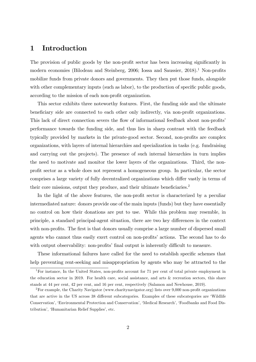## 1 Introduction

The provision of public goods by the non-profit sector has been increasing significantly in modern economies (Bilodeau and Steinberg, 2006; Iossa and Saussier, 2018).<sup>1</sup> Non-profits mobilize funds from private donors and governments. They then put those funds, alongside with other complementary inputs (such as labor), to the production of specific public goods, according to the mission of each non-profit organization.

This sector exhibits three noteworthy features. First, the funding side and the ultimate beneficiary side are connected to each other only indirectly, via non-profit organizations. This lack of direct connection severs the flow of informational feedback about non-profits' performance towards the funding side, and thus lies in sharp contrast with the feedback typically provided by markets in the private-good sector. Second, non-profits are complex organizations, with layers of internal hierarchies and specialization in tasks (e.g. fundraising and carrying out the projects). The presence of such internal hierarchies in turn implies the need to motivate and monitor the lower layers of the organizations. Third, the nonprofit sector as a whole does not represent a homogeneous group. In particular, the sector comprises a large variety of fully decentralized organizations which differ vastly in terms of their core missions, output they produce, and their ultimate beneficiaries.<sup>2</sup>

In the light of the above features, the non-profit sector is characterized by a peculiar intermediated nature: donors provide one of the main inputs (funds) but they have essentially no control on how their donations are put to use. While this problem may resemble, in principle, a standard principal-agent situation, there are two key differences in the context with non-profits. The first is that donors usually comprise a large number of dispersed small agents who cannot thus easily exert control on non-profits' actions. The second has to do with output observability: non-profits' final output is inherently difficult to measure.

These informational failures have called for the need to establish specific schemes that help preventing rent-seeking and misappropriation by agents who may be attracted to the

<sup>1</sup>For instance, In the United States, non-profits account for 71 per cent of total private employment in the education sector in 2019. For health care, social assistance, and arts & recreation sectors, this share stands at 44 per cent, 42 per cent, and 16 per cent, respectively (Salamon and Newhouse, 2019).

<sup>2</sup>For example, the Charity Navigator (www.charitynavigator.org) lists over 9,000 non-profit organizations that are active in the US across 38 different subcategories. Examples of these subcategories are 'Wildlife Conservation', 'Environmental Protection and Conservation', 'Medical Research', 'Foodbanks and Food Distribution', 'Humanitarian Relief Supplies', etc.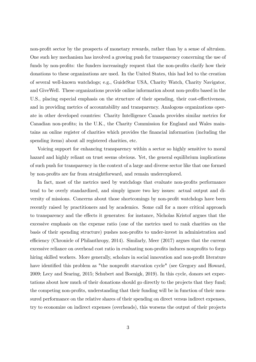non-profit sector by the prospects of monetary rewards, rather than by a sense of altruism. One such key mechanism has involved a growing push for transparency concerning the use of funds by non-profits: the funders increasingly request that the non-profits clarify how their donations to these organizations are used. In the United States, this had led to the creation of several well-known watchdogs; e.g., GuideStar USA, Charity Watch, Charity Navigator, and GiveWell. These organizations provide online information about non-profits based in the U.S., placing especial emphasis on the structure of their spending, their cost-effectiveness, and in providing metrics of accountability and transparency. Analogous organizations operate in other developed countries: Charity Intelligence Canada provides similar metrics for Canadian non-profits; in the U.K., the Charity Commission for England and Wales maintains an online register of charities which provides the financial information (including the spending items) about all registered charities, etc.

Voicing support for enhancing transparency within a sector so highly sensitive to moral hazard and highly reliant on trust seems obvious. Yet, the general equilibrium implications of such push for transparency in the context of a large and diverse sector like that one formed by non-profits are far from straightforward, and remain underexplored.

In fact, most of the metrics used by watchdogs that evaluate non-profits performance tend to be overly standardized, and simply ignore two key issues: actual output and diversity of missions. Concerns about those shortcomings by non-profit watchdogs have been recently raised by practitioners and by academics. Some call for a more critical approach to transparency and the effects it generates: for instance, Nicholas Kristof argues that the excessive emphasis on the expense ratio (one of the metrics used to rank charities on the basis of their spending structure) pushes non-profits to under-invest in administration and efficiency (Chronicle of Philanthropy, 2014). Similarly, Meer  $(2017)$  argues that the current excessive reliance on overhead cost ratio in evaluating non-profits induces nonprofits to forgo hiring skilled workers. More generally, scholars in social innovation and non-profit literature have identified this problem as "the nonprofit starvation cycle" (see Gregory and Howard, 2009; Lecy and Searing, 2015; Schubert and Boenigk, 2019). In this cycle, donors set expectations about how much of their donations should go directly to the projects that they fund; the competing non-profits, understanding that their funding will be in function of their measured performance on the relative shares of their spending on direct versus indirect expenses, try to economize on indirect expenses (overheads), this worsens the output of their projects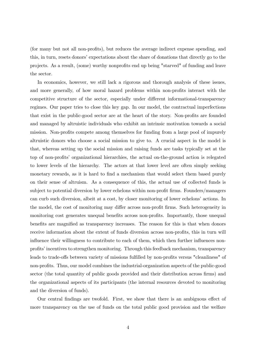(for many but not all non-profits), but reduces the average indirect expense spending, and this, in turn, resets donors' expectations about the share of donations that directly go to the projects. As a result, (some) worthy nonprofits end up being "starved" of funding and leave the sector.

In economics, however, we still lack a rigorous and thorough analysis of these issues, and more generally, of how moral hazard problems within non-profits interact with the competitive structure of the sector, especially under different informational-transparency regimes. Our paper tries to close this key gap. In our model, the contractual imperfections that exist in the public-good sector are at the heart of the story. Non-profits are founded and managed by altruistic individuals who exhibit an intrinsic motivation towards a social mission. Non-profits compete among themselves for funding from a large pool of impurely altruistic donors who choose a social mission to give to. A crucial aspect in the model is that, whereas setting up the social mission and raising funds are tasks typically set at the top of non-profits' organizational hierarchies, the actual on-the-ground action is relegated to lower levels of the hierarchy. The actors at that lower level are often simply seeking monetary rewards, as it is hard to find a mechanism that would select them based purely on their sense of altruism. As a consequence of this, the actual use of collected funds is subject to potential diversion by lower echelons within non-profit firms. Founders/managers can curb such diversion, albeit at a cost, by closer monitoring of lower echelons' actions. In the model, the cost of monitoring may differ across non-profit firms. Such heterogeneity in monitoring cost generates unequal benefits across non-profits. Importantly, those unequal benefits are magnified as transparency increases. The reason for this is that when donors receive information about the extent of funds diversion across non-profits, this in turn will influence their willingness to contribute to each of them, which then further influences nonprofits' incentives to strengthen monitoring. Through this feedback mechanism, transparency leads to trade-offs between variety of missions fulfilled by non-profits versus "cleanliness" of non-profits. Thus, our model combines the industrial-organization aspects of the public-good sector (the total quantity of public goods provided and their distribution across firms) and the organizational aspects of its participants (the internal resources devoted to monitoring and the diversion of funds).

Our central findings are twofold. First, we show that there is an ambiguous effect of more transparency on the use of funds on the total public good provision and the welfare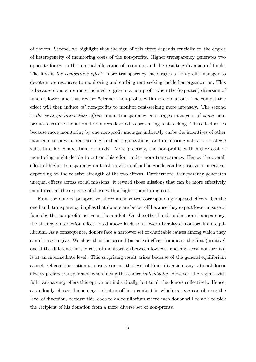of donors. Second, we highlight that the sign of this effect depends crucially on the degree of heterogeneity of monitoring costs of the non-profits. Higher transparency generates two opposite forces on the internal allocation of resources and the resulting diversion of funds. The first is *the competitive effect*: more transparency encourages a non-profit manager to devote more resources to monitoring and curbing rent-seeking inside her organization. This is because donors are more inclined to give to a non-profit when the (expected) diversion of funds is lower, and thus reward "cleaner" non-profits with more donations. The competitive effect will then induce *all* non-profits to monitor rent-seeking more intensely. The second is *the strategic-interaction effect*: more transparency encourages managers of *some* nonprofits to reduce the internal resources devoted to preventing rent-seeking. This effect arises because more monitoring by one non-profit manager indirectly curbs the incentives of other managers to prevent rent-seeking in their organizations, and monitoring acts as a strategic substitute for competition for funds. More precisely, the non-profits with higher cost of monitoring might decide to cut on this effort under more transparency. Hence, the overall effect of higher transparency on total provision of public goods can be positive or negative, depending on the relative strength of the two effects. Furthermore, transparency generates unequal effects across social missions: it reward those missions that can be more effectively monitored, at the expense of those with a higher monitoring cost.

From the donors' perspective, there are also two corresponding opposed effects. On the one hand, transparency implies that donors are better off because they expect lower misuse of funds by the non-profits active in the market. On the other hand, under more transparency, the strategic-interaction effect noted above leads to a lower diversity of non-profits in equilibrium. As a consequence, donors face a narrower set of charitable causes among which they can choose to give. We show that the second (negative) effect dominates the first (positive) one if the difference in the cost of monitoring (between low-cost and high-cost non-profits) is at an intermediate level. This surprising result arises because of the general-equilibrium aspect. Offered the option to observe or not the level of funds diversion, any rational donor always prefers transparency, when facing this choice *individually*. However, the regime with full transparency offers this option not individually, but to all the donors collectively. Hence, a randomly chosen donor may be better off in a context in which *no one* can observe the level of diversion, because this leads to an equilibrium where each donor will be able to pick the recipient of his donation from a more diverse set of non-profits.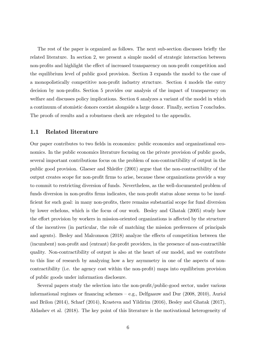The rest of the paper is organized as follows. The next sub-section discusses briefly the related literature. In section 2, we present a simple model of strategic interaction between non-profits and highlight the effect of increased transparency on non-profit competition and the equilibrium level of public good provision. Section 3 expands the model to the case of a monopolistically competitive non-profit industry structure. Section 4 models the entry decision by non-profits. Section 5 provides our analysis of the impact of transparency on welfare and discusses policy implications. Section 6 analyzes a variant of the model in which a continuum of atomistic donors coexist alongside a large donor. Finally, section 7 concludes. The proofs of results and a robustness check are relegated to the appendix.

## 1.1 Related literature

Our paper contributes to two fields in economics: public economics and organizational economics. In the public economics literature focusing on the private provision of public goods, several important contributions focus on the problem of non-contractibility of output in the public good provision. Glaeser and Shleifer (2001) argue that the non-contractibility of the output creates scope for non-profit firms to arise, because these organizations provide a way to commit to restricting diversion of funds. Nevertheless, as the well-documented problem of funds diversion in non-profits firms indicates, the non-profit status alone seems to be insufficient for such goal: in many non-profits, there remains substantial scope for fund diversion by lower echelons, which is the focus of our work. Besley and Ghatak (2005) study how the effort provision by workers in mission-oriented organizations is affected by the structure of the incentives (in particular, the role of matching the mission preferences of principals and agents). Besley and Malcomson (2018) analyze the effects of competition between the (incumbent) non-profit and (entrant) for-profit providers, in the presence of non-contractible quality. Non-contractibility of output is also at the heart of our model, and we contribute to this line of research by analyzing how a key asymmetry in one of the aspects of noncontractibility (i.e. the agency cost within the non-profit) maps into equilibrium provision of public goods under information disclosure.

Several papers study the selection into the non-profit/public-good sector, under various informational regimes or financing schemes — e.g., Delfgaauw and Dur (2008, 2010), Auriol and Brilon (2014), Scharf (2014), Krasteva and Yildirim (2016), Besley and Ghatak (2017), Aldashev et al. (2018). The key point of this literature is the motivational heterogeneity of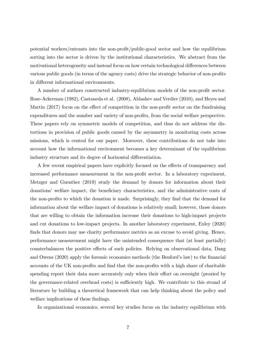potential workers/entrants into the non-profit/public-good sector and how the equilibrium sorting into the sector is driven by the institutional characteristics. We abstract from the motivational heterogeneity and instead focus on how certain technological differences between various public goods (in terms of the agency costs) drive the strategic behavior of non-profits in different informational environments.

A number of authors constructed industry-equilibrium models of the non-profit sector. Rose-Ackerman (1982), Castaneda et al. (2008), Aldashev and Verdier (2010), and Heyes and Martin  $(2017)$  focus on the effect of competition in the non-profit sector on the fundraising expenditures and the number and variety of non-profits, from the social welfare perspective. These papers rely on symmetric models of competition, and thus do not address the distortions in provision of public goods caused by the asymmetry in monitoring costs across missions, which is central for our paper. Moreover, these contributions do not take into account how the informational environment becomes a key determinant of the equilibrium industry structure and its degree of horizontal differentiation.

A few recent empirical papers have explicitly focused on the effects of transparency and increased performance measurement in the non-profit sector. In a laboratory experiment, Metzger and Guenther (2019) study the demand by donors for information about their donations' welfare impact, the beneficiary characteristics, and the administrative costs of the non-profits to which the donation is made. Surprisingly, they find that the demand for information about the welfare impact of donations is relatively small; however, those donors that are willing to obtain the information increase their donations to high-impact projects and cut donations to low-impact projects. In another laboratory experiment, Exley (2020) finds that donors may use charity performance metrics as an excuse to avoid giving. Hence, performance measurement might have the unintended consequence that (at least partially) counterbalances the positive effects of such policies. Relying on observational data, Dang and Owens (2020) apply the forensic economics methods (the Benford's law) to the financial accounts of the UK non-profits and find that the non-profits with a high share of charitable spending report their data more accurately only when their effort on oversight (proxied by the governance-related overhead costs) is sufficiently high. We contribute to this strand of literature by building a theoretical framework that can help thinking about the policy and welfare implications of these findings.

In organizational economics, several key studies focus on the industry equilibrium with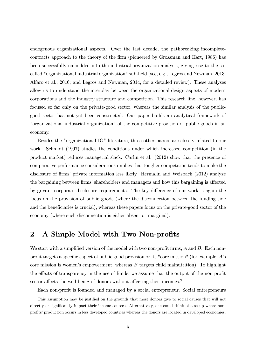endogenous organizational aspects. Over the last decade, the pathbreaking incompletecontracts approach to the theory of the firm (pioneered by Grossman and Hart, 1986) has been successfully embedded into the industrial-organization analysis, giving rise to the socalled "organizational industrial organization" sub-field (see, e.g., Legros and Newman, 2013; Alfaro et al., 2016; and Legros and Newman, 2014, for a detailed review). These analyses allow us to understand the interplay between the organizational-design aspects of modern corporations and the industry structure and competition. This research line, however, has focused so far only on the private-good sector, whereas the similar analysis of the publicgood sector has not yet been constructed. Our paper builds an analytical framework of "organizational industrial organization" of the competitive provision of public goods in an economy.

Besides the "organizational IO" literature, three other papers are closely related to our work. Schmidt (1997) studies the conditions under which increased competition (in the product market) reduces managerial slack. Carlin et al. (2012) show that the presence of comparative performance considerations implies that tougher competition tends to make the disclosure of firms' private information less likely. Hermalin and Weisbach (2012) analyze the bargaining between firms' shareholders and managers and how this bargaining is affected by greater corporate disclosure requirements. The key difference of our work is again the focus on the provision of public goods (where the disconnection between the funding side and the beneficiaries is crucial), whereas these papers focus on the private-good sector of the economy (where such disconnection is either absent or marginal).

## 2 A Simple Model with Two Non-profits

We start with a simplified version of the model with two non-profit firms, *A* and *B*. Each nonprofit targets a specific aspect of public good provision or its "core mission" (for example, *A*'s core mission is women's empowerment, whereas *B* targets child malnutrition). To highlight the effects of transparency in the use of funds, we assume that the output of the non-profit sector affects the well-being of donors without affecting their incomes.<sup>3</sup>

Each non-profit is founded and managed by a social entrepreneur. Social entrepreneurs

<sup>&</sup>lt;sup>3</sup>This assumption may be justified on the grounds that most donors give to social causes that will not directly or significantly impact their income sources. Alternatively, one could think of a setup where nonprofits' production occurs in less developed countries whereas the donors are located in developed economies.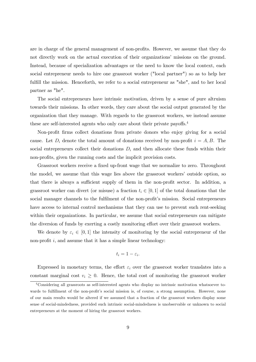are in charge of the general management of non-profits. However, we assume that they do not directly work on the actual execution of their organizations' missions on the ground. Instead, because of specialization advantages or the need to know the local context, each social entrepreneur needs to hire one grassroot worker ("local partner") so as to help her fulfill the mission. Henceforth, we refer to a social entrepreneur as "she", and to her local partner as "he".

The social entrepreneurs have intrinsic motivation, driven by a sense of pure altruism towards their missions. In other words, they care about the social output generated by the organization that they manage. With regards to the grassroot workers, we instead assume these are self-interested agents who only care about their private payoffs.<sup>4</sup>

Non-profit firms collect donations from private donors who enjoy giving for a social cause. Let  $D_i$  denote the total amount of donations received by non-profit  $i = A, B$ . The social entrepreneurs collect their donations  $D_i$  and then allocate these funds within their non-profits, given the running costs and the implicit provision costs.

Grassroot workers receive a fixed up-front wage that we normalize to zero. Throughout the model, we assume that this wage lies above the grassroot workers' outside option, so that there is always a sufficient supply of them in the non-profit sector. In addition, a grassroot worker can divert (or misuse) a fraction  $t_i \in [0,1]$  of the total donations that the social manager channels to the fulfilment of the non-profit's mission. Social entrepreneurs have access to internal control mechanisms that they can use to prevent such rent-seeking within their organizations. In particular, we assume that social entrepreneurs can mitigate the diversion of funds by exerting a costly monitoring effort over their grassroot workers.

We denote by  $\varepsilon_i \in [0,1]$  the intensity of monitoring by the social entrepreneur of the non-profit *i*, and assume that it has a simple linear technology:

$$
t_i=1-\varepsilon_i.
$$

Expressed in monetary terms, the effort  $\varepsilon_i$  over the grassroot worker translates into a constant marginal cost  $v_i \geq 0$ . Hence, the total cost of monitoring the grassroot worker

<sup>4</sup>Considering all grassroots as self-interested agents who display no intrinsic motivation whatsoever towards to fulfillment of the non-profit's social mission is, of course, a strong assumption. However, none of our main results would be altered if we assumed that a fraction of the grassroot workers display some sense of social-mindedness, provided such intrinsic social-mindedness is unobservable or unknown to social entrepreneurs at the moment of hiring the grassroot workers.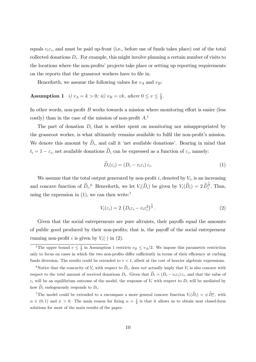equals  $v_i \varepsilon_i$ , and must be paid up-front (i.e., before use of funds takes place) out of the total collected donations  $D_i$ . For example, this might involve planning a certain number of visits to the locations where the non-profits' projects take place or setting up reporting requirements on the reports that the grassroot workers have to file in.

Henceforth, we assume the following values for  $v_A$  and  $v_B$ :

## Assumption 1 *i)*  $v_A = k > 0$ ; *ii)*  $v_B = vk$ , where  $0 \le v \le \frac{1}{2}$ .

In other words, non-profit *B* works towards a mission where monitoring effort is easier (less costly) than in the case of the mission of non-profit *A*. 5

The part of donation  $D_i$  that is neither spent on monitoring nor misappropriated by the grassroot worker, is what ultimately remains available to fulfil the non-profit's mission. We denote this amount by  $D_i$ , and call it 'net available donations'. Bearing in mind that  $t_i = 1 - \varepsilon_i$ , net available donations  $\widetilde{D}_i$  can be expressed as a function of  $\varepsilon_i$ , namely:

$$
D_i(\varepsilon_i) = (D_i - v_i \varepsilon_i) \varepsilon_i.
$$
\n(1)

We assume that the total output generated by non-profit  $i$ , denoted by  $V_i$ , is an increasing and concave function of  $\widetilde{D}_i$ <sup>6</sup>. Henceforth, we let  $V_i(\widetilde{D}_i)$  be given by  $V_i(\widetilde{D}_i)=2 \widetilde{D}_i^{\frac{1}{2}}$ . Thus, using the expression in  $(1)$ , we can then write:<sup>7</sup>

$$
V_i(\varepsilon_i) = 2 \left( D_i \varepsilon_i - v_i \varepsilon_i^2 \right)^{\frac{1}{2}}.
$$
\n
$$
(2)
$$

Given that the social entrepreneurs are pure altruists, their payoffs equal the amounts of public good produced by their non-profits; that is, the payoff of the social entrepreneur running non-profit *i* is given by  $V_i(\cdot)$  in (2).

<sup>&</sup>lt;sup>5</sup>The upper bound  $v \leq \frac{1}{2}$  in Assumption 1 restricts  $v_B \leq v_A/2$ . We impose this parametric restriction only to focus on cases in which the two non-profits differ sufficiently in terms of their efficiency at curbing funds diversion. The results could be extended to  $v < 1$ , albeit at the cost of heavier algebraic expressions.

<sup>&</sup>lt;sup>6</sup>Notice that the concavity of  $V_i$  with respect to  $\tilde{D}_i$ , does *not* actually imply that  $V_i$  is also concave with respect to the *total* amount of received donations  $D_i$ . Given that  $\tilde{D}_i = (D_i - v_i \varepsilon_i) \varepsilon_i$ , and that the value of  $\varepsilon_i$  will be an equilibrium outcome of the model, the response of  $V_i$  with respect to  $D_i$  will be mediated by how  $D_i$  endogenously responds to  $D_i$ .

<sup>&</sup>lt;sup>7</sup>The model could be extended to a encompass a more general concave function  $V_i(\tilde{D}_i) = \psi \tilde{D}_i^{\alpha}$ , with  $\alpha \in (0,1)$  and  $\psi > 0$ . The main reason for fixing  $\alpha = \frac{1}{2}$  is that it allows us to obtain neat closed-form solutions for most of the main results of the paper.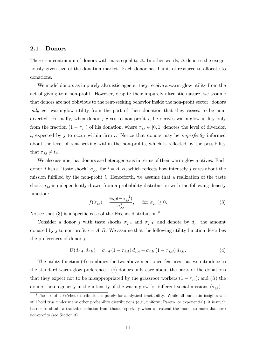#### 2.1 Donors

There is a continuum of donors with mass equal to  $\Delta$ . In other words,  $\Delta$  denotes the exogenously given size of the donation market. Each donor has 1 unit of resource to allocate to donations.

We model donors as impurely altruistic agents: they receive a warm-glow utility from the act of giving to a non-profit. However, despite their impurely altruistic nature, we assume that donors are not oblivious to the rent-seeking behavior inside the non-profit sector: donors *only* get warm-glow utility from the part of their donation that they *expect* to be nondiverted. Formally, when donor *j* gives to non-profit *i*, he derives warm-glow utility only from the fraction  $(1 - \tau_{j,i})$  of his donation, where  $\tau_{j,i} \in [0,1]$  denotes the level of diversion  $t_i$  expected by  $j$  to occur within firm  $i$ . Notice that donors may be *imperfectly* informed about the level of rent seeking within the non-profits, which is reflected by the possibility that  $\tau_{j,i} \neq t_i$ .

We also assume that donors are heterogeneous in terms of their warm-glow motives. Each donor *j* has a "taste shock"  $\sigma_{j,i}$ , for  $i = A, B$ , which reflects how intensely *j* cares about the mission fulfilled by the non-profit *i*. Henceforth, we assume that a realization of the taste shock  $\sigma_{j,i}$  is independently drawn from a probability distribution with the following density function:

$$
f(\sigma_{j,i}) = \frac{\exp(-\sigma_{j,i}^{-1})}{\sigma_{j,i}^2}, \quad \text{for } \sigma_{j,i} \ge 0.
$$
 (3)

Notice that  $(3)$  is a specific case of the Fréchet distribution.<sup>8</sup>

Consider a donor *j* with taste shocks  $\sigma_{j,A}$  and  $\sigma_{j,B}$ , and denote by  $d_{j,i}$  the amount donated by *j* to non-profit  $i = A, B$ . We assume that the following utility function describes the preferences of donor *j*:

$$
U(d_{j,A}, d_{j,B}) = \sigma_{j,A} (1 - \tau_{j,A}) d_{j,A} + \sigma_{j,B} (1 - \tau_{j,B}) d_{j,B}.
$$
 (4)

The utility function (4) combines the two above-mentioned features that we introduce to the standard warm-glow preferences: (*i*) donors only care about the parts of the donations that they expect not to be misappropriated by the grassroot workers  $(1 - \tau_{j,i})$ ; and  $(ii)$  the donors' heterogeneity in the intensity of the warm-glow for different social missions  $(\sigma_{j,i})$ .

<sup>&</sup>lt;sup>8</sup>The use of a Fréchet distribution is purely for analytical tractability. While all our main insights will still hold true under many other probability distributions (e.g., uniform, Pareto, or exponential), it is much harder to obtain a tractable solution from those, especially when we extend the model to more than two non-profits (see Section 3).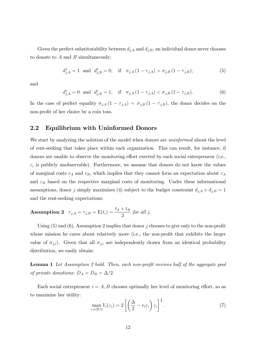Given the perfect substitutability between  $d_{j,A}$  and  $d_{j,B}$ , an individual donor never chooses to donate to *A* and *B* simultaneously:

$$
d_{j,A}^* = 1 \text{ and } d_{j,B}^* = 0, \text{ if } \sigma_{j,A}(1 - \tau_{j,A}) > \sigma_{j,B}(1 - \tau_{j,B}), \tag{5}
$$

and

$$
d_{j,A}^* = 0 \text{ and } d_{j,B}^* = 1, \text{ if } \sigma_{j,A}(1 - \tau_{j,A}) < \sigma_{j,B}(1 - \tau_{j,B}).
$$
 (6)

In the case of perfect equality  $\sigma_{j,A}(1 - \tau_{j,A}) = \sigma_{j,B}(1 - \tau_{j,B})$ , the donor decides on the non-profit of her choice by a coin toss.

## 2.2 Equilibrium with Uninformed Donors

We start by analyzing the solution of the model when donors are *uninformed* about the level of rent-seeking that takes place within each organization. This can result, for instance, if donors are unable to observe the monitoring effort exerted by each social entrepreneur (i.e.,  $\varepsilon_i$  is publicly unobservable). Furthermore, we assume that donors do not know the values of marginal costs  $v_A$  and  $v_B$ , which implies that they cannot form an expectation about  $\varepsilon_A$ and  $\varepsilon_B$  based on the respective marginal costs of monitoring. Under these informational assumptions, donor *j* simply maximizes (4) subject to the budget constraint  $d_{j,A} + d_{j,B} = 1$ and the rent-seeking expectations:

**Assumption 2**  $\tau_{j,A} = \tau_{j,B} = E(t_i) = \frac{t_A + t_B}{2}$  for all *j*.

Using (5) and (6), Assumption 2 implies that donor *j* chooses to give only to the non-profit whose mission he cares about relatively more (i.e., the non-profit that exhibits the larger value of  $\sigma_{j,i}$ ). Given that all  $\sigma_{j,i}$  are independently drawn from an identical probability distribution, we easily obtain:

Lemma 1 *Let Assumption 2 hold. Then, each non-profit receives half of the aggregate pool of private donations:*  $D_A = D_B = \Delta/2$ *.* 

Each social entrepreneur  $i = A, B$  chooses optimally her level of monitoring effort, so as to maximize her utility:

$$
\max_{\varepsilon_i \in [0,1]} V_i(\varepsilon_i) = 2 \left[ \left( \frac{\Delta}{2} - v_i \varepsilon_i \right) \varepsilon_i \right]^{\frac{1}{2}}.
$$
\n(7)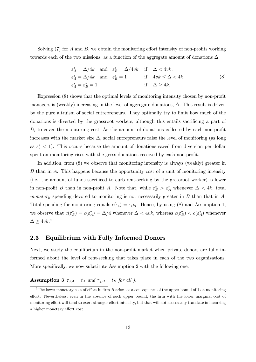Solving  $(7)$  for *A* and *B*, we obtain the monitoring effort intensity of non-profits working towards each of the two missions, as a function of the aggregate amount of donations  $\Delta$ :

$$
\varepsilon_A^* = \Delta/4k \quad \text{and} \quad \varepsilon_B^* = \Delta/4vk \quad \text{if} \quad \Delta < 4vk,
$$
\n
$$
\varepsilon_A^* = \Delta/4k \quad \text{and} \quad \varepsilon_B^* = 1 \qquad \qquad \text{if} \quad 4vk \leq \Delta < 4k,
$$
\n
$$
\varepsilon_A^* = \varepsilon_B^* = 1 \qquad \qquad \text{if} \quad \Delta \geq 4k.
$$
\n
$$
(8)
$$

Expression (8) shows that the optimal levels of monitoring intensity chosen by non-profit managers is (weakly) increasing in the level of aggregate donations,  $\Delta$ . This result is driven by the pure altruism of social entrepreneurs. They optimally try to limit how much of the donations is diverted by the grassroot workers, although this entails sacrificing a part of  $D_i$  to cover the monitoring cost. As the amount of donations collected by each non-profit increases with the market size  $\Delta$ , social entrepreneurs raise the level of monitoring (as long as  $\varepsilon_i^*$  < 1). This occurs because the amount of donations saved from diversion per dollar spent on monitoring rises with the gross donations received by each non-profit.

In addition, from (8) we observe that monitoring intensity is always (weakly) greater in *B* than in *A*. This happens because the opportunity cost of a unit of monitoring intensity (i.e. the amount of funds sacrificed to curb rent-seeking by the grassroot worker) is lower in non-profit *B* than in non-profit *A*. Note that, while  $\varepsilon_B^* > \varepsilon_A^*$  whenever  $\Delta < 4k$ , total *monetary* spending devoted to monitoring is not necessarily greater in *B* than that in *A*. Total spending for monitoring equals  $c(\varepsilon_i) = \varepsilon_i v_i$ . Hence, by using (8) and Assumption 1, we observe that  $c(\epsilon_B^*) = c(\epsilon_A^*) = \Delta/4$  whenever  $\Delta < 4vk$ , whereas  $c(\epsilon_B^*) < c(\epsilon_A^*)$  whenever  $\Delta \geq 4vk.^9$ 

#### 2.3 Equilibrium with Fully Informed Donors

Next, we study the equilibrium in the non-profit market when private donors are fully informed about the level of rent-seeking that takes place in each of the two organizations. More specifically, we now substitute Assumption 2 with the following one:

## Assumption 3  $\tau_{j,A} = t_A$  and  $\tau_{j,B} = t_B$  for all *j*.

<sup>&</sup>lt;sup>9</sup>The lower monetary cost of effort in firm  $B$  arises as a consequence of the upper bound of 1 on monitoring effort. Nevertheless, even in the absence of such upper bound, the firm with the lower marginal cost of monitoring effort will tend to exert stronger effort intensity, but that will not necessarily translate in incurring a higher monetary effort cost.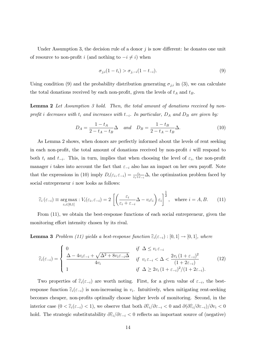Under Assumption 3, the decision rule of a donor  $j$  is now different: he donates one unit of resource to non-profit *i* (and nothing to  $-i \neq i$ ) when

$$
\sigma_{j,i}(1-t_i) > \sigma_{j,-i}(1-t_{-i}).
$$
\n(9)

Using condition (9) and the probability distribution generating  $\sigma_{j,i}$  in (3), we can calculate the total donations received by each non-profit, given the levels of  $t_A$  and  $t_B$ .

Lemma 2 *Let Assumption 3 hold. Then, the total amount of donations received by nonprofit i* decreases with  $t_i$  and increases with  $t_{-i}$ . In particular,  $D_A$  and  $D_B$  are given by:

$$
D_A = \frac{1 - t_A}{2 - t_A - t_B} \Delta \quad and \quad D_B = \frac{1 - t_B}{2 - t_A - t_B} \Delta.
$$
 (10)

As Lemma 2 shows, when donors are perfectly informed about the levels of rent seeking in each non-profit, the total amount of donations received by non-profit *i* will respond to both  $t_i$  and  $t_{-i}$ . This, in turn, implies that when choosing the level of  $\varepsilon_i$ , the non-profit manager *i* takes into account the fact that  $\varepsilon_{-i}$  also has an impact on her own payoff. Note that the expressions in (10) imply  $D_i(\varepsilon_i, \varepsilon_{-i}) = \frac{\varepsilon_i}{\varepsilon_i + \varepsilon_{-i}} \Delta$ , the optimization problem faced by social entrepreneur *i* now looks as follows:

$$
\widehat{\varepsilon}_{i}\left(\varepsilon_{-i}\right) \equiv \underset{\varepsilon_{i}\in[0,1]}{\arg\max} : V_{i}(\varepsilon_{i}, \varepsilon_{-i}) = 2\left[\left(\frac{\varepsilon_{i}}{\varepsilon_{i} + \varepsilon_{-i}}\Delta - v_{i}\varepsilon_{i}\right)\varepsilon_{i}\right]^{\frac{1}{2}}, \text{ where } i = A, B. \quad (11)
$$

From (11), we obtain the best-response functions of each social entrepreneur, given the monitoring effort intensity chosen by its rival.

**Lemma 3** Problem (11) yields a best-response function  $\hat{\epsilon}_i(\epsilon_{-i}) : [0,1] \rightarrow [0,1]$ , where

$$
\widehat{\varepsilon}_{i}(\varepsilon_{-i}) = \begin{cases}\n0 & \text{if } \Delta \le v_{i} \varepsilon_{-i} \\
\frac{\Delta - 4v_{i}\varepsilon_{-i} + \sqrt{\Delta^{2} + 8v_{i}\varepsilon_{-i}}\Delta}{4v_{i}} & \text{if } v_{i} \varepsilon_{-i} < \Delta < \frac{2v_{i}(1 + \varepsilon_{-i})^{2}}{(1 + 2\varepsilon_{-i})} \\
1 & \text{if } \Delta \ge 2v_{i}(1 + \varepsilon_{-i})^{2}/(1 + 2\varepsilon_{-i}).\n\end{cases}
$$
\n(12)

Two properties of  $\widehat{\varepsilon}_i(\varepsilon_{-i})$  are worth noting. First, for a given value of  $\varepsilon_{-i}$ , the bestresponse function  $\hat{\epsilon}_i(\epsilon_{-i})$  is non-increasing in  $v_i$ . Intuitively, when mitigating rent-seeking becomes cheaper, non-profits optimally choose higher levels of monitoring. Second, in the interior case  $(0 < \widehat{\varepsilon}_i(\varepsilon_{-i}) < 1)$ , we observe that both  $\partial \widehat{\varepsilon}_i / \partial \varepsilon_{-i} < 0$  and  $\partial (\partial \widehat{\varepsilon}_i / \partial \varepsilon_{-i}) / \partial v_i < 0$ hold. The strategic substitutability  $\partial \hat{\epsilon}_i / \partial \epsilon_{-i} < 0$  reflects an important source of (negative)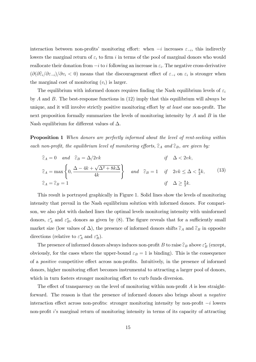interaction between non-profits' monitoring effort: when  $-i$  increases  $\varepsilon_{-i}$ , this indirectly lowers the marginal return of  $\varepsilon_i$  to firm *i* in terms of the pool of marginal donors who would reallocate their donation from  $-i$  to *i* following an increase in  $\varepsilon_i$ . The negative cross-derivative  $(\partial(\partial \hat{\varepsilon}_i/\partial \varepsilon_{-i})/\partial v_i < 0)$  means that the discouragement effect of  $\varepsilon_{-i}$  on  $\varepsilon_i$  is stronger when the marginal cost of monitoring  $(v_i)$  is larger.

The equilibrium with informed donors requires finding the Nash equilibrium levels of  $\varepsilon_i$ by *A* and *B*. The best-response functions in (12) imply that this equilibrium will always be unique, and it will involve strictly positive monitoring effort by *at least* one non-profit. The next proposition formally summarizes the levels of monitoring intensity by *A* and *B* in the Nash equilibrium for different values of  $\Delta$ .

Proposition 1 *When donors are perfectly informed about the level of rent-seeking within each non-profit, the equilibrium level of monitoring efforts,*  $\hat{\epsilon}_A$  *and*  $\hat{\epsilon}_B$ *, are given by:* 

$$
\widehat{\varepsilon}_A = 0 \quad \text{and} \quad \widehat{\varepsilon}_B = \Delta/2vk \qquad \text{if} \quad \Delta < 2vk,
$$
\n
$$
\widehat{\varepsilon}_A = \max\left\{0, \frac{\Delta - 4k + \sqrt{\Delta^2 + 8k\Delta}}{4k}\right\} \quad \text{and} \quad \widehat{\varepsilon}_B = 1 \quad \text{if} \quad 2vk \le \Delta < \frac{8}{3}k,\qquad(13)
$$
\n
$$
\widehat{\varepsilon}_A = \widehat{\varepsilon}_B = 1 \qquad \text{if} \quad \Delta \ge \frac{8}{3}k.\qquad(13)
$$

This result is portrayed graphically in Figure 1. Solid lines show the levels of monitoring intensity that prevail in the Nash equilibrium solution with informed donors. For comparison, we also plot with dashed lines the optimal levels monitoring intensity with uninformed donors,  $\varepsilon_A^*$  and  $\varepsilon_B^*$ , donors as given by (8). The figure reveals that for a sufficiently small market size (low values of  $\Delta$ ), the presence of informed donors shifts  $\hat{\varepsilon}_A$  and  $\hat{\varepsilon}_B$  in opposite directions (relative to  $\varepsilon_A^*$  and  $\varepsilon_B^*$ ).

The presence of informed donors always induces non-profit *B* to raise  $\widehat{\varepsilon}_B$  above  $\varepsilon_B^*$  (except, obviously, for the cases where the upper-bound  $\varepsilon_B = 1$  is binding). This is the consequence of a *positive* competitive effect across non-profits. Intuitively, in the presence of informed donors, higher monitoring effort becomes instrumental to attracting a larger pool of donors, which in turn fosters stronger monitoring effort to curb funds diversion.

The effect of transparency on the level of monitoring within non-profit  $A$  is less straightforward. The reason is that the presence of informed donors also brings about a *negative* interaction effect across non-profits: stronger monitoring intensity by non-profit  $-i$  lowers non-profit *i*'s marginal return of monitoring intensity in terms of its capacity of attracting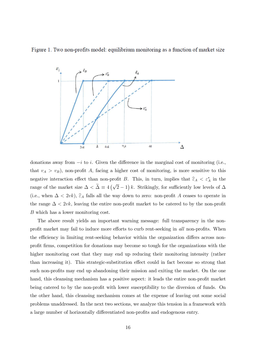Figure 1. Two non-profits model: equilibrium monitoring as a function of market size



donations away from  $-i$  to *i*. Given the difference in the marginal cost of monitoring (i.e., that  $v_A > v_B$ , non-profit *A*, facing a higher cost of monitoring, is more sensitive to this negative interaction effect than non-profit *B*. This, in turn, implies that  $\hat{\varepsilon}_A < \varepsilon_A^*$  in the range of the market size  $\Delta < \tilde{\Delta} \equiv 4(\sqrt{2}-1) k$ . Strikingly, for sufficiently low levels of  $\Delta$ (i.e., when  $\Delta < 2vk$ ),  $\hat{\varepsilon}_A$  falls all the way down to zero: non-profit *A* ceases to operate in the range  $\Delta < 2vk$ , leaving the entire non-profit market to be catered to by the non-profit *B* which has a lower monitoring cost.

The above result yields an important warning message: full transparency in the nonprofit market may fail to induce more efforts to curb rent-seeking in *all* non-profits. When the efficiency in limiting rent-seeking behavior within the organization differs across nonprofit firms, competition for donations may become so tough for the organizations with the higher monitoring cost that they may end up reducing their monitoring intensity (rather than increasing it). This strategic-substitution effect could in fact become so strong that such non-profits may end up abandoning their mission and exiting the market. On the one hand, this cleansing mechanism has a positive aspect: it leads the entire non-profit market being catered to by the non-profit with lower susceptibility to the diversion of funds. On the other hand, this cleansing mechanism comes at the expense of leaving out some social problems unaddressed. In the next two sections, we analyze this tension in a framework with a large number of horizontally differentiated non-profits and endogenous entry.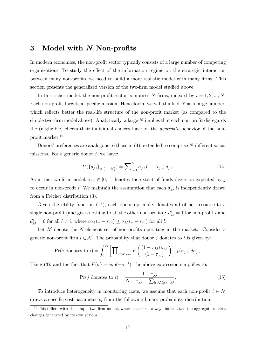## 3 Model with *N* Non-profits

In modern economies, the non-profit sector typically consists of a large number of competing organizations. To study the effect of the information regime on the strategic interaction between many non-profits, we need to build a more realistic model with many firms. This section presents the generalized version of the two-firm model studied above.

In this richer model, the non-profit sector comprises  $N$  firms, indexed by  $i = 1, 2, ..., N$ . Each non-profit targets a specific mission. Henceforth, we will think of *N* as a large number, which reflects better the real-life structure of the non-profit market (as compared to the simple two-firm model above). Analytically, a large *N* implies that each non-profit disregards the (negligible) effects their individual choices have on the *aggregate* behavior of the nonprofit market.10

Donors' preferences are analogous to those in  $(4)$ , extended to comprise N different social missions. For a generic donor  $j$ , we have:

$$
U(\{d_{j,i}\}_{i\in\{1,\ldots,N\}}) = \sum_{i=1}^{N} \sigma_{j,i} (1 - \tau_{j,i}) d_{j,i}.
$$
 (14)

As in the two-firm model,  $\tau_{j,i} \in [0,1]$  denotes the extent of funds diversion expected by j to occur in non-profit *i*. We maintain the assumption that each  $\sigma_{j,i}$  is independently drawn from a Fréchet distribution (3).

Given the utility function (14), each donor optimally donates all of her resource to a single non-profit (and gives nothing to all the other non-profits):  $d_{j,i}^* = 1$  for non-profit *i* and  $d_{j,l}^* = 0$  for all  $l \neq i$ , where  $\sigma_{j,i} (1 - \tau_{j,i}) \ge \sigma_{j,l} (1 - \tau_{j,l})$  for all *l*.

Let  $\mathcal N$  denote the *N*-element set of non-profits operating in the market. Consider a generic non-profit firm  $i \in \mathcal{N}$ . The probability that donor *j* donates to *i* is given by:

$$
\Pr(j \text{ donates to } i) = \int_0^\infty \left[ \prod_{l \in \mathcal{N}, l \neq i} F\left(\frac{(1 - \tau_{j,i}) \sigma_{j,i}}{(1 - \tau_{j,l})}\right) \right] f(\sigma_{j,i}) d\sigma_{j,i}.
$$

Using (3), and the fact that  $F(\sigma) = \exp(-\sigma^{-1})$ , the above expression simplifies to:

$$
\Pr(j \text{ donates to } i) = \frac{1 - \tau_{j,i}}{N - \tau_{j,i} - \sum_{l \in \mathcal{N}, l \neq i} \tau_{j,l}}.\tag{15}
$$

To introduce heterogeneity in monitoring costs, we assume that each non-profit  $i \in \mathcal{N}$ draws a specific cost parameter  $v_i$  from the following binary probability distribution:

 $10$ This differs with the simple two-firm model, where each firm always internalizes the aggregate market changes generated by its own actions.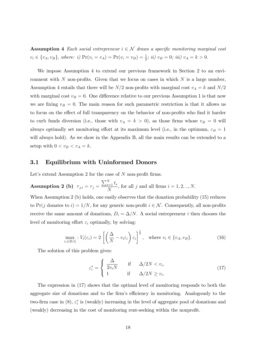Assumption 4 *Each social entrepreneur*  $i \in \mathcal{N}$  *draws a specific monitoring marginal cost*  $v_i \in \{v_A, v_B\}$ , where: i)  $Pr(v_i = v_A) = Pr(v_i = v_B) = \frac{1}{2}$ ; ii)  $v_B = 0$ ; iii)  $v_A = k > 0$ .

We impose Assumption 4 to extend our previous framework in Section 2 to an environment with *N* non-profits. Given that we focus on cases in which *N* is a large number, Assumption 4 entails that there will be  $N/2$  non-profits with marginal cost  $v_A = k$  and  $N/2$ with marginal cost  $v_B = 0$ . One difference relative to our previous Assumption 1 is that now we are fixing  $v_B = 0$ . The main reason for such parametric restriction is that it allows us to focus on the effect of full transparency on the behavior of non-profits who find it harder to curb funds diversion (i.e., those with  $v_A = k > 0$ ), as those firms whose  $v_B = 0$  will always optimally set monitoring effort at its maximum level (i.e., in the optimum,  $\varepsilon_B = 1$ will always hold). As we show in the Appendix B, all the main results can be extended to a setup with  $0 < v_B < v_A = k$ .

## 3.1 Equilibrium with Uninformed Donors

Let's extend Assumption 2 for the case of *N* non-profit firms.

 $\textbf{Assumption~2 (b)} \ \ \tau_{j,i} = \tau_j =$  $\frac{\sum_{s=1}^{N} t_s}{N}$ , for all *j* and all firms  $i = 1, 2, ..., N$ . When Assumption 2 (b) holds, one easily observes that the donation probability (15) reduces

to Pr(*j* donates to *i*) =  $1/N$ , for any generic non-profit  $i \in \mathcal{N}$ . Consequently, all non-profits receive the same amount of donations,  $D_i = \Delta/N$ . A social entrepreneur *i* then chooses the level of monitoring effort  $\varepsilon_i$  optimally, by solving:

$$
\max_{\varepsilon_i \in [0,1]} : V_i(\varepsilon_i) = 2 \left[ \left( \frac{\Delta}{N} - v_i \varepsilon_i \right) \varepsilon_i \right]^{\frac{1}{2}}, \text{ where } v_i \in \{v_A, v_B\}. \tag{16}
$$

The solution of this problem gives:

$$
\varepsilon_i^* = \begin{cases} \frac{\Delta}{2v_i N} & \text{if } \Delta/2N < v_i, \\ 1 & \text{if } \Delta/2N \ge v_i. \end{cases} \tag{17}
$$

The expression in (17) shows that the optimal level of monitoring responds to both the aggregate size of donations and to the firm's efficiency in monitoring. Analogously to the two-firm case in  $(8)$ ,  $\varepsilon_i^*$  is (weakly) increasing in the level of aggregate pool of donations and (weakly) decreasing in the cost of monitoring rent-seeking within the nonprofit.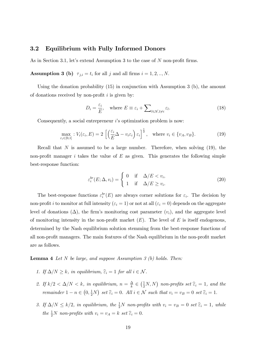#### 3.2 Equilibrium with Fully Informed Donors

As in Section 3.1, let's extend Assumption 3 to the case of *N* non-profit firms.

**Assumption 3 (b)**  $\tau_{j,i} = t_i$  for all *j* and all firms  $i = 1, 2, ..., N$ .

Using the donation probability (15) in conjunction with Assumption 3 (b), the amount of donations received by non-profit *i* is given by:

$$
D_i = \frac{\varepsilon_i}{E}, \quad \text{where } E \equiv \varepsilon_i + \sum_{l \in \mathcal{N}, l \neq i} \varepsilon_l.
$$
 (18)

Consequently, a social entrepreneur *i*'s optimization problem is now:

$$
\max_{\varepsilon_i \in [0,1]} V_i(\varepsilon_i, E) = 2 \left[ \left( \frac{\varepsilon_i}{E} \Delta - v_i \varepsilon_i \right) \varepsilon_i \right]^{\frac{1}{2}}, \text{ where } v_i \in \{v_A, v_B\}. \tag{19}
$$

Recall that  $N$  is assumed to be a large number. Therefore, when solving  $(19)$ , the non-profit manager  $i$  takes the value of  $E$  as given. This generates the following simple best-response function:

$$
\varepsilon_i^{br}(E; \Delta, v_i) = \begin{cases} 0 & \text{if } \Delta/E < v_i, \\ 1 & \text{if } \Delta/E \ge v_i. \end{cases}
$$
 (20)

The best-response functions  $\varepsilon_i^{br}(E)$  are always corner solutions for  $\varepsilon_i$ . The decision by non-profit *i* to monitor at full intensity  $(\varepsilon_i = 1)$  or not at all  $(\varepsilon_i = 0)$  depends on the aggregate level of donations  $(\Delta)$ , the firm's monitoring cost parameter  $(v_i)$ , and the aggregate level of monitoring intensity in the non-profit market (*E*). The level of *E* is itself endogenous, determined by the Nash equilibrium solution stemming from the best-response functions of all non-profit managers. The main features of the Nash equilibrium in the non-profit market are as follows.

Lemma 4 *Let N be large, and suppose Assumption 3 (b) holds. Then:*

- *1.* If  $\Delta/N \geq k$ , in equilibrium,  $\hat{\varepsilon}_i = 1$  for all  $i \in \mathcal{N}$ .
- 2. If  $k/2 < \Delta/N < k$ , in equilibrium,  $n = \frac{\Delta}{k} \in (\frac{1}{2}N, N)$  non-profits set  $\widehat{\epsilon}_i = 1$ , and the *remainder*  $1 - n \in (0, \frac{1}{2}N)$  *set*  $\widehat{\varepsilon}_i = 0$ *. All*  $i \in \mathcal{N}$  *such that*  $v_i = v_B = 0$  *set*  $\widehat{\varepsilon}_i = 1$ *.*
- 3. If  $\Delta/N \leq k/2$ , in equilibrium, the  $\frac{1}{2}N$  non-profits with  $v_i = v_B = 0$  set  $\hat{\epsilon}_i = 1$ , while *the*  $\frac{1}{2}N$  *non-profits with*  $v_i = v_A = k$  *set*  $\widehat{\epsilon}_i = 0$ *.*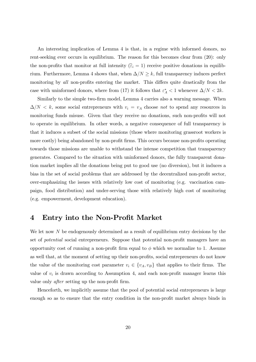An interesting implication of Lemma 4 is that, in a regime with informed donors, no rent-seeking ever occurs in equilibrium. The reason for this becomes clear from (20): only the non-profits that monitor at full intensity  $(\hat{\varepsilon}_i = 1)$  receive positive donations in equilibrium. Furthermore, Lemma 4 shows that, when  $\Delta/N \geq k$ , full transparency induces perfect monitoring by *all* non-profits entering the market. This differs quite drastically from the case with uninformed donors, where from (17) it follows that  $\varepsilon_A^* < 1$  whenever  $\Delta/N < 2k$ .

Similarly to the simple two-firm model, Lemma 4 carries also a warning message. When  $\Delta/N < k$ , some social entrepreneurs with  $v_i = v_A$  choose *not* to spend any resources in monitoring funds misuse. Given that they receive no donations, such non-profits will not to operate in equilibrium. In other words, a negative consequence of full transparency is that it induces a subset of the social missions (those where monitoring grassroot workers is more costly) being abandoned by non-profit firms. This occurs because non-profits operating towards those missions are unable to withstand the intense competition that transparency generates. Compared to the situation with uninformed donors, the fully transparent donation market implies all the donations being put to good use (no diversion), but it induces a bias in the set of social problems that are addressed by the decentralized non-profit sector, over-emphasizing the issues with relatively low cost of monitoring (e.g. vaccination campaign, food distribution) and under-serving those with relatively high cost of monitoring (e.g. empowerment, development education).

## 4 Entry into the Non-Profit Market

We let now N be endogenously determined as a result of equilibrium entry decisions by the set of *potential* social entrepreneurs. Suppose that potential non-profit managers have an opportunity cost of running a non-profit firm equal to  $\phi$  which we normalize to 1. Assume as well that, at the moment of setting up their non-profits, social entrepreneurs do not know the value of the monitoring cost parameter  $v_i \in \{v_A, v_B\}$  that applies to their firms. The value of  $v_i$  is drawn according to Assumption 4, and each non-profit manager learns this value only *after* setting up the non-profit firm.

Henceforth, we implicitly assume that the pool of potential social entrepreneurs is large enough so as to ensure that the entry condition in the non-profit market always binds in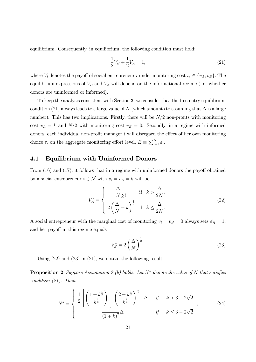equilibrium. Consequently, in equilibrium, the following condition must hold:

$$
\frac{1}{2}V_B + \frac{1}{2}V_A = 1,\t\t(21)
$$

where  $V_i$  denotes the payoff of social entrepreneur *i* under monitoring cost  $v_i \in \{v_A, v_B\}$ . The equilibrium expressions of  $V_B$  and  $V_A$  will depend on the informational regime (i.e. whether donors are uninformed or informed).

To keep the analysis consistent with Section 3, we consider that the free-entry equilibrium condition (21) always leads to a large value of *N* (which amounts to assuming that  $\Delta$  is a large number). This has two implications. Firstly, there will be  $N/2$  non-profits with monitoring cost  $v_A = k$  and  $N/2$  with monitoring cost  $v_B = 0$ . Secondly, in a regime with informed donors, each individual non-profit manager  $i$  will disregard the effect of her own monitoring choice  $\varepsilon_i$  on the aggregate monitoring effort level,  $E \equiv \sum_{l=1}^{N} \varepsilon_l$ .

## 4.1 Equilibrium with Uninformed Donors

From  $(16)$  and  $(17)$ , it follows that in a regime with uninformed donors the payoff obtained by a social entrepreneur  $i \in \mathcal{N}$  with  $v_i = v_A = k$  will be

$$
V_A^* = \begin{cases} \frac{\Delta}{N} \frac{1}{k^{\frac{1}{2}}} & \text{if } k > \frac{\Delta}{2N},\\ 2\left(\frac{\Delta}{N} - k\right)^{\frac{1}{2}} & \text{if } k \le \frac{\Delta}{2N}. \end{cases} \tag{22}
$$

A social entrepreneur with the marginal cost of monitoring  $v_i = v_B = 0$  always sets  $\varepsilon_B^* = 1$ , and her payoff in this regime equals

$$
V_B^* = 2\left(\frac{\Delta}{N}\right)^{\frac{1}{2}}.\t(23)
$$

Using (22) and (23) in (21), we obtain the following result:

Proposition 2 *Suppose Assumption 2 (b) holds. Let N*" *denote the value of N that satisfies condition (21). Then,*

$$
N^* = \begin{cases} \frac{1}{2} \left[ \left( \frac{1 + k^{\frac{1}{2}}}{k^{\frac{1}{2}}} \right) + \left( \frac{2 + k^{\frac{1}{2}}}{k^{\frac{1}{2}}} \right)^{\frac{1}{2}} \right] \Delta & \text{if } k > 3 - 2\sqrt{2} \\ \frac{4}{(1 + k)^2} \Delta & \text{if } k \le 3 - 2\sqrt{2} \end{cases}
$$
 (24)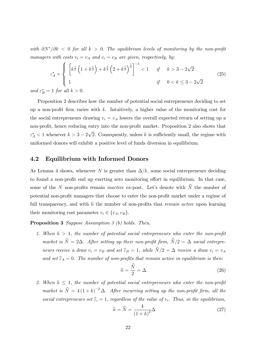*with*  $\partial N^*/\partial k < 0$  for all  $k > 0$ . The equilibrium levels of monitoring by the non-profit *managers with costs*  $v_i = v_A$  *and*  $v_i = v_B$  *are given, respectively, by:* 

$$
\varepsilon_A^* = \begin{cases} \left[ k^{\frac{1}{2}} \left( 1 + k^{\frac{1}{2}} \right) + k^{\frac{3}{4}} \left( 2 + k^{\frac{1}{2}} \right)^{\frac{1}{2}} \right]^{-1} & \text{if } k > 3 - 2\sqrt{2} \\ 1 & \text{if } 0 < k \le 3 - 2\sqrt{2} \end{cases} \tag{25}
$$

*and*  $\varepsilon_B^* = 1$  *for all*  $k > 0$ *.* 

Proposition 2 describes how the number of potential social entrepreneurs deciding to set up a non-profit firm varies with *k*. Intuitively, a higher value of the monitoring cost for the social entrepreneurs drawing  $v_i = v_A$  lowers the overall expected return of setting up a non-profit, hence reducing entry into the non-profit market. Proposition 2 also shows that  $\varepsilon_A^*$  < 1 whenever  $k > 3 - 2\sqrt{2}$ . Consequently, unless *k* is sufficiently small, the regime with uniformed donors will exhibit a positive level of funds diversion in equilibrium.

## 4.2 Equilibrium with Informed Donors

As Lemma 4 shows, whenever *N* is greater than  $\Delta/k$ , some social entrepreneurs deciding to found a non-profit end up exerting zero monitoring effort in equilibrium. In that case, some of the *N* non-profits remain *inactive* ex-post. Let's denote with  $\widehat{N}$  the number of potential non-profit managers that choose to enter the non-profit market under a regime of full transparency, and with  $\hat{n}$  the number of non-profits that *remain active* upon learning their monitoring cost parameter  $v_i \in \{v_A, v_B\}.$ 

Proposition 3 *Suppose Assumption 3 (b) holds. Then,*

1. When  $k > 1$ , the number of potential social entrepreneurs who enter the non-profit *market is*  $\hat{N} = 2\Delta$ *. After setting up their non-profit firm,*  $\hat{N}/2 = \Delta$  *social entrepreneurs receive a draw*  $v_i = v_B$  *and set*  $\hat{\epsilon}_B = 1$ *, while*  $\hat{N}/2 = \Delta$  *receive a draw*  $v_i = v_A$ and set  $\widehat{\epsilon}_A = 0$ . The number of non-profits that remain active in equilibrium is then:

$$
\widehat{n} = \frac{N}{2} = \Delta. \tag{26}
$$

2. When  $k \leq 1$ , the number of potential social entrepreneurs who enter the non-profit *market is*  $\hat{N} = 4(1 + k)^{-2} \Delta$ *. After incurring setting up the non-profit firm, all the social entrepreneurs set*  $\hat{\epsilon}_i = 1$ *, regardless of the value of*  $v_i$ *. Thus, in the equilibrium,* 

$$
\widehat{n} = \widehat{N} = \frac{4}{\left(1 + k\right)^2} \Delta \tag{27}
$$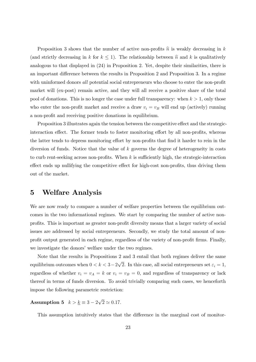Proposition 3 shows that the number of active non-profits  $\hat{n}$  is weakly decreasing in *k* (and strictly decreasing in *k* for  $k \leq 1$ ). The relationship between  $\hat{n}$  and *k* is qualitatively analogous to that displayed in (24) in Proposition 2. Yet, despite their similarities, there is an important difference between the results in Proposition 2 and Proposition 3. In a regime with uninformed donors *all* potential social entrepreneurs who choose to enter the non-profit market will (ex-post) remain active, and they will all receive a positive share of the total pool of donations. This is no longer the case under full transparency: when *k >* 1, only those who enter the non-profit market and receive a draw  $v_i = v_B$  will end up (actively) running a non-profit and receiving positive donations in equilibrium.

Proposition 3 illustrates again the tension between the competitive effect and the strategicinteraction effect. The former tends to foster monitoring effort by all non-profits, whereas the latter tends to depress monitoring effort by non-profits that find it harder to rein in the diversion of funds. Notice that the value of *k* governs the degree of heterogeneity in costs to curb rent-seeking across non-profits. When  $k$  is sufficiently high, the strategic-interaction effect ends up nullifying the competitive effect for high-cost non-profits, thus driving them out of the market.

## 5 Welfare Analysis

We are now ready to compare a number of welfare properties between the equilibrium outcomes in the two informational regimes. We start by comparing the number of active nonprofits. This is important as greater non-profit diversity means that a larger variety of social issues are addressed by social entrepreneurs. Secondly, we study the total amount of nonprofit output generated in each regime, regardless of the variety of non-profit firms. Finally, we investigate the donors' welfare under the two regimes.

Note that the results in Propositions 2 and 3 entail that both regimes deliver the same equilibrium outcomes when  $0 < k < 3-2\sqrt{2}$ . In this case, all social entrepreneurs set  $\varepsilon_i = 1$ , regardless of whether  $v_i = v_A = k$  or  $v_i = v_B = 0$ , and regardless of transparency or lack thereof in terms of funds diversion. To avoid trivially comparing such cases, we henceforth impose the following parametric restriction:

**Assumption 5**  $k > \underline{k} \equiv 3 - 2\sqrt{2} \approx 0.17$ *.* 

This assumption intuitively states that the difference in the marginal cost of monitor-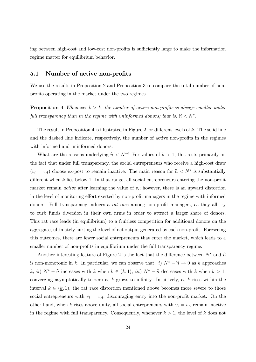ing between high-cost and low-cost non-profits is sufficiently large to make the information regime matter for equilibrium behavior.

#### 5.1 Number of active non-profits

We use the results in Proposition 2 and Proposition 3 to compare the total number of nonprofits operating in the market under the two regimes.

**Proposition 4** *Whenever*  $k > k$ *, the number of active non-profits is always smaller under full transparency than in the regime with uninformed donors; that is,*  $\hat{n} < N^*$ .

The result in Proposition 4 is illustrated in Figure 2 for different levels of  $k$ . The solid line and the dashed line indicate, respectively, the number of active non-profits in the regimes with informed and uninformed donors.

What are the reasons underlying  $\hat{n} < N^*$ ? For values of  $k > 1$ , this rests primarily on the fact that under full transparency, the social entrepreneurs who receive a high-cost draw  $(v_i = v_A)$  choose ex-post to remain inactive. The main reason for  $\hat{n} < N^*$  is substantially different when  $k$  lies below 1. In that range, all social entrepreneurs entering the non-profit market remain *active* after learning the value of *vi*; however, there is an upward distortion in the level of monitoring effort exerted by non-profit managers in the regime with informed donors. Full transparency induces a *rat race* among non-profit managers, as they all try to curb funds diversion in their own firms in order to attract a larger share of donors. This rat race leads (in equilibrium) to a fruitless competition for additional donors on the aggregate, ultimately hurting the level of net output generated by each non-profit. Foreseeing this outcomes, there are fewer social entrepreneurs that enter the market, which leads to a smaller number of non-profits in equilibrium under the full transparency regime.

Another interesting feature of Figure 2 is the fact that the difference between  $N^*$  and  $\hat{n}$ is non-monotonic in *k*. In particular, we can observe that: *i*)  $N^* - \hat{n} \to 0$  as *k* approaches *k*, *ii*)  $N^* - \hat{n}$  increases with *k* when  $k \in (k, 1)$ , *iii*)  $N^* - \hat{n}$  decreases with *k* when  $k > 1$ , converging asymptotically to zero as *k* grows to infinity. Intuitively, as *k* rises within the interval  $k \in (k, 1)$ , the rat race distortion mentioned above becomes more severe to those social entrepreneurs with  $v_i = v_A$ , discouraging entry into the non-profit market. On the other hand, when *k* rises above unity, all social entrepreneurs with  $v_i = v_A$  remain inactive in the regime with full transparency. Consequently, whenever  $k > 1$ , the level of  $k$  does not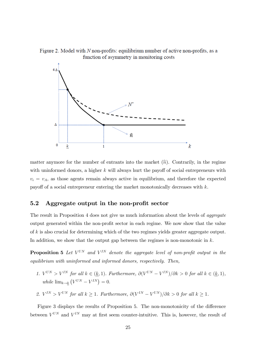Figure 2. Model with N non-profits: equilibrium number of active non-profits, as a function of asymmetry in monitoring costs



matter anymore for the number of entrants into the market  $(\hat{n})$ . Contrarily, in the regime with uninformed donors, a higher  $k$  will always hurt the payoff of social entrepreneurs with  $v_i = v_A$ , as those agents remain always active in equilibrium, and therefore the expected payo§ of a social entrepreneur entering the market monotonically decreases with *k*.

#### 5.2 Aggregate output in the non-profit sector

The result in Proposition 4 does not give us much information about the levels of *aggregate* output generated within the non-profit sector in each regime. We now show that the value of *k* is also crucial for determining which of the two regimes yields greater aggregate output. In addition, we show that the output gap between the regimes is non-monotonic in *k*.

**Proposition 5** Let  $V^{UN}$  and  $V^{IN}$  denote the aggregate level of non-profit output in the *equilibrium with uninformed and informed donors, respectively. Then,*

- *1.*  $V^{UN} > V^{IN}$  for all  $k \in (\underline{k}, 1)$ *. Furthermore,*  $\partial (V^{UN} V^{IN})/\partial k > 0$  for all  $k \in (\underline{k}, 1)$ *,*  $\text{while } \lim_{k \to \underline{k}} (V^{UN} - V^{IN}) = 0.$
- *2.*  $V^{IN} > V^{UN}$  for all  $k \geq 1$ *. Furthermore,*  $\partial (V^{IN} V^{UN})/\partial k > 0$  for all  $k \geq 1$ *.*

Figure 3 displays the results of Proposition 5. The non-monotonicity of the difference between  $V^{UN}$  and  $V^{IN}$  may at first seem counter-intuitive. This is, however, the result of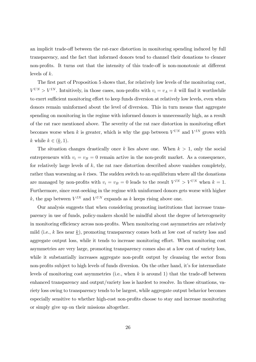an implicit trade-off between the rat-race distortion in monitoring spending induced by full transparency, and the fact that informed donors tend to channel their donations to cleaner non-profits. It turns out that the intensity of this trade-off is non-monotonic at different levels of *k*.

The first part of Proposition 5 shows that, for relatively low levels of the monitoring cost,  $V^{UN} > V^{IN}$ . Intuitively, in those cases, non-profits with  $v_i = v_A = k$  will find it worthwhile to exert sufficient monitoring effort to keep funds diversion at relatively low levels, even when donors remain uninformed about the level of diversion. This in turn means that aggregate spending on monitoring in the regime with informed donors is unnecessarily high, as a result of the rat race mentioned above. The severity of the rat race distortion in monitoring effort becomes worse when *k* is greater, which is why the gap between  $V^{UN}$  and  $V^{IN}$  grows with *k* while  $k \in (k, 1)$ .

The situation changes drastically once  $k$  lies above one. When  $k > 1$ , only the social entrepreneurs with  $v_i = v_B = 0$  remain active in the non-profit market. As a consequence, for relatively large levels of *k*, the rat race distortion described above vanishes completely, rather than worsening as *k* rises. The sudden switch to an equilibrium where all the donations are managed by non-profits with  $v_i = v_B = 0$  leads to the result  $V^{IN} > V^{UN}$  when  $k = 1$ . Furthermore, since rent-seeking in the regime with uninformed donors gets worse with higher *k*, the gap between  $V^{IN}$  and  $V^{UN}$  expands as *k* keeps rising above one.

Our analysis suggests that when considering promoting institutions that increase transparency in use of funds, policy-makers should be mindful about the degree of heterogeneity in monitoring efficiency across non-profits. When monitoring cost asymmetries are relatively mild (i.e., *k* lies near *k*), promoting transparency comes both at low cost of variety loss and aggregate output loss, while it tends to increase monitoring effort. When monitoring cost asymmetries are very large, promoting transparency comes also at a low cost of variety loss, while it substantially increases aggregate non-profit output by cleansing the sector from non-profits subject to high levels of funds diversion. On the other hand, it's for intermediate levels of monitoring cost asymmetries (i.e., when  $k$  is around 1) that the trade-off between enhanced transparency and output/variety loss is hardest to resolve. In those situations, variety loss owing to transparency tends to be largest, while aggregate output behavior becomes especially sensitive to whether high-cost non-profits choose to stay and increase monitoring or simply give up on their missions altogether.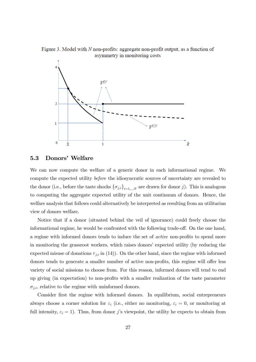Figure 3. Model with N non-profits: aggregate non-profit output, as a function of asymmetry in monitoring costs



#### 5.3 Donors' Welfare

We can now compute the welfare of a generic donor in each informational regime. We compute the expected utility *before* the idiosyncratic sources of uncertainty are revealed to the donor (i.e., before the taste shocks  ${\{\sigma_{j,i}\}}_{i=1,\dots,N}$  are drawn for donor *j*). This is analogous to computing the aggregate expected utility of the unit continuum of donors. Hence, the welfare analysis that follows could alternatively be interpreted as resulting from an utilitarian view of donors welfare.

Notice that if a donor (situated behind the veil of ignorance) could freely choose the informational regime, he would be confronted with the following trade-off. On the one hand, a regime with informed donors tends to induce the set of *active* non-profits to spend more in monitoring the grassroot workers, which raises donors' expected utility (by reducing the expected misuse of donations  $\tau_{j,i}$  in (14)). On the other hand, since the regime with informed donors tends to generate a smaller number of active non-profits, this regime will offer less variety of social missions to choose from. For this reason, informed donors will tend to end up giving (in expectation) to non-profits with a smaller realization of the taste parameter  $\sigma_{j,i}$ , relative to the regime with uninformed donors.

Consider first the regime with informed donors. In equilibrium, social entrepreneurs always choose a corner solution for  $\varepsilon_i$  (i.e., either no monitoring,  $\varepsilon_i = 0$ , or monitoring at full intensity,  $\varepsilon_i = 1$ ). Thus, from donor *j*'s viewpoint, the utility he expects to obtain from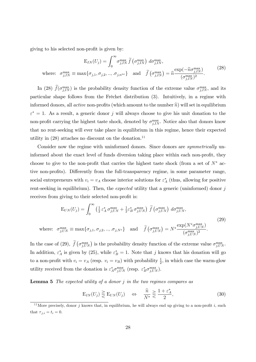giving to his selected non-profit is given by:

$$
E_{IN}(U_j) = \int_0^\infty \sigma_{j,IN}^{\max} \tilde{f}(\sigma_{j,IN}^{\max}) d\sigma_{j,IN}^{\max},
$$
  
where:  $\sigma_{j,IN}^{\max} \equiv \max\{\sigma_{j,1}, \sigma_{j,2}, ..., \sigma_{j,n^{ne}}\}$  and  $\tilde{f}(\sigma_{j,IN}^{\max}) = \hat{n} \frac{\exp(-\hat{n}\sigma_{j,IN}^{\max})}{(\sigma_{j,IN}^{\max})^2}.$  (28)

In (28)  $f(\sigma_{j,IN}^{\max})$  is the probability density function of the extreme value  $\sigma_{j,IN}^{\max}$ , and its particular shape follows from the Fréchet distribution (3). Intuitively, in a regime with informed donors, all *active* non-profits (which amount to the number  $\hat{n}$ ) will set in equilibrium  $\varepsilon^* = 1$ . As a result, a generic donor *j* will always choose to give his unit donation to the non-profit carrying the highest taste shock, denoted by  $\sigma_{j,IN}^{\max}$ . Notice also that donors know that no rent-seeking will ever take place in equilibrium in this regime, hence their expected utility in  $(28)$  attaches no discount on the donation.<sup>11</sup>

Consider now the regime with uninformed donors. Since donors are *symmetrically* uninformed about the exact level of funds diversion taking place within each non-profit, they choose to give to the non-profit that carries the highest taste shock (from a set of  $N^*$  active non-profits). Differently from the full-transparency regime, in some parameter range, social entrepreneurs with  $v_i = v_A$  choose interior solutions for  $\varepsilon_A^*$  (thus, allowing for positive rent-seeking in equilibrium). Then, the *expected* utility that a generic (uninformed) donor *j* receives from giving to their selected non-profit is:

$$
E_{UN}(U_j) = \int_0^\infty \left(\frac{1}{2} \varepsilon_A^* \sigma_{j,UN}^{\max} + \frac{1}{2} \varepsilon_B^* \sigma_{j,UN}^{\max}\right) \tilde{f}\left(\sigma_{j,UN}^{\max}\right) d\sigma_{j,UN}^{\max},
$$
\nwhere:  $\sigma_{j,UN}^{\max} \equiv \max\{\sigma_{j,1}, \sigma_{j,2}, ..., \sigma_{j,N^*}\}\$  and  $\tilde{f}\left(\sigma_{j,UN}^{\max}\right) = N^* \frac{\exp(N^* \sigma_{j,UN}^{\max})}{(\sigma_{j,UN}^{\max})^2}.$  (29)

In the case of (29),  $\tilde{f}(\sigma_{j,UN}^{\max})$  is the probability density function of the extreme value  $\sigma_{j,UN}^{\max}$ . In addition,  $\varepsilon_A^*$  is given by (25), while  $\varepsilon_B^* = 1$ . Note that *j* knows that his donation will go to a non-profit with  $v_i = v_A$  (resp.  $v_i = v_B$ ) with probability  $\frac{1}{2}$ , in which case the warm-glow utility received from the donation is  $\varepsilon_A^* \sigma_{j,UN}^{\max}$  (resp.  $\varepsilon_B^* \sigma_{j,UN}^{\max}$ ).

Lemma 5 *The expected utility of a donor j in the two regimes compares as*

$$
E_{IN}(U_j) \geq E_{UN}(U_j) \quad \Leftrightarrow \quad \frac{\widehat{n}}{N^*} \geq \frac{1 + \varepsilon_A^*}{2},\tag{30}
$$

<sup>&</sup>lt;sup>11</sup>More precisely, donor *j* knows that, in equilibrium, he will always end up giving to a non-profit *i*, such that  $\tau_{j,i} = t_i = 0$ .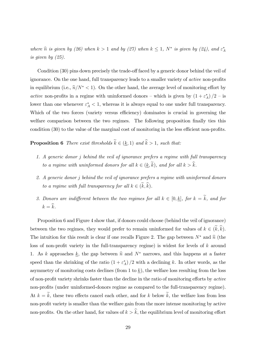*where*  $\hat{n}$  *is given by (26) when*  $k > 1$  *and by (27) when*  $k \leq 1$ ,  $N^*$  *is given by (24), and*  $\varepsilon_A^*$ *is given by (25).*

Condition  $(30)$  pins down precisely the trade-off faced by a generic donor behind the veil of ignorance. On the one hand, full transparency leads to a smaller variety of *active* non-profits in equilibrium (i.e.,  $\hat{n}/N^*$  < 1). On the other hand, the average level of monitoring effort by *active* non-profits in a regime with uninformed donors – which is given by  $(1 + \varepsilon_A^*)/2$  – is lower than one whenever  $\varepsilon_A^* < 1$ , whereas it is always equal to one under full transparency. Which of the two forces (variety versus efficiency) dominates is crucial in governing the welfare comparison between the two regimes. The following proposition finally ties this condition  $(30)$  to the value of the marginal cost of monitoring in the less efficient non-profits.

**Proposition 6** *There exist thresholds*  $\widetilde{k} \in (\underline{k}, 1)$  *and*  $\widehat{k} > 1$ *, such that:* 

- *1. A generic donor j behind the veil of ignorance prefers a regime with full transparency to a regime with uninformed donors for all*  $k \in (\underline{k}, \widetilde{k})$ *, and for all*  $k > \widehat{k}$ *.*
- *2. A generic donor j behind the veil of ignorance prefers a regime with uninformed donors to a regime with full transparency for all*  $k \in (\widetilde{k}, \widehat{k})$ .
- *3. Donors are indifferent between the two regimes for all*  $k \in [0, \underline{k}]$ *, for*  $k = \tilde{k}$ *, and for*  $k = \hat{k}$ *.*

Proposition 6 and Figure 4 show that, if donors could choose (behind the veil of ignorance) between the two regimes, they would prefer to remain uninformed for values of  $k \in (\tilde{k}, \hat{k})$ . The intuition for this result is clear if one recalls Figure 2. The gap between  $N^*$  and  $\hat{n}$  (the loss of non-profit variety in the full-transparency regime) is widest for levels of *k* around 1. As *k* approaches <u>*k*</u>, the gap between  $\hat{n}$  and  $N^*$  narrows, and this happens at a faster speed than the shrinking of the ratio  $(1 + \varepsilon_A^*)/2$  with a declining k. In other words, as the asymmetry of monitoring costs declines (from 1 to *k*), the welfare loss resulting from the loss of non-profit variety shrinks faster than the decline in the ratio of monitoring efforts by *active* non-profits (under uninformed-donors regime as compared to the full-transparency regime). At  $k = \tilde{k}$ , these two effects cancel each other, and for *k* below  $\tilde{k}$ , the welfare loss from less non-profit variety is smaller than the welfare gain from the more intense monitoring by active non-profits. On the other hand, for values of  $k > \hat{k}$ , the equilibrium level of monitoring effort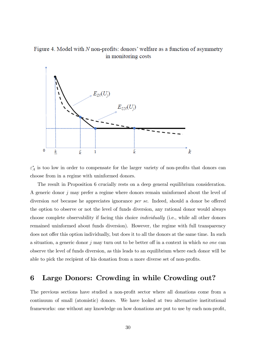Figure 4. Model with N non-profits: donors' welfare as a function of asymmetry in monitoring costs



 $\varepsilon_A^*$  is too low in order to compensate for the larger variety of non-profits that donors can choose from in a regime with uninformed donors.

The result in Proposition 6 crucially rests on a deep general equilibrium consideration. A generic donor *j* may prefer a regime where donors remain uninformed about the level of diversion *not* because he appreciates ignorance *per se*. Indeed, should a donor be offered the option to observe or not the level of funds diversion, any rational donor would always choose complete observability if facing this choice *individually* (i.e., while all other donors remained uninformed about funds diversion). However, the regime with full transparency does not offer this option individually, but does it to all the donors at the same time. In such a situation, a generic donor  $j$  may turn out to be better of in a context in which *no* one can observe the level of funds diversion, as this leads to an equilibrium where each donor will be able to pick the recipient of his donation from a more diverse set of non-profits.

## 6 Large Donors: Crowding in while Crowding out?

The previous sections have studied a non-profit sector where all donations come from a continuum of small (atomistic) donors. We have looked at two alternative institutional frameworks: one without any knowledge on how donations are put to use by each non-profit,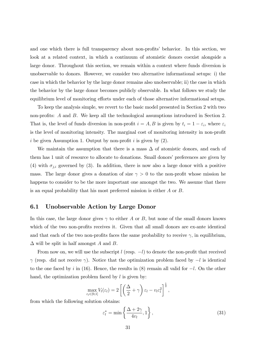and one which there is full transparency about non-profits' behavior. In this section, we look at a related context, in which a continuum of atomistic donors coexist alongside a large donor. Throughout this section, we remain within a context where funds diversion is unobservable to donors. However, we consider two alternative informational setups: i) the case in which the behavior by the large donor remains also unobservable; ii) the case in which the behavior by the large donor becomes publicly observable. In what follows we study the equilibrium level of monitoring efforts under each of those alternative informational setups.

To keep the analysis simple, we revert to the basic model presented in Section 2 with two non-profits: *A* and *B*. We keep all the technological assumptions introduced in Section 2. That is, the level of funds diversion in non-profit  $i = A, B$  is given by  $t_i = 1 - \varepsilon_i$ , where  $\varepsilon_i$ is the level of monitoring intensity. The marginal cost of monitoring intensity in non-profit *i* be given Assumption 1. Output by non-profit *i* is given by (2).

We maintain the assumption that there is a mass  $\Delta$  of atomistic donors, and each of them has 1 unit of resource to allocate to donations. Small donors' preferences are given by (4) with  $\sigma_{j,i}$  governed by (3). In addition, there is now also a large donor with a positive mass. The large donor gives a donation of size  $\gamma > 0$  to the non-profit whose mission he happens to consider to be the more important one amongst the two. We assume that there is an equal probability that his most preferred mission is either *A* or *B*.

## 6.1 Unobservable Action by Large Donor

In this case, the large donor gives  $\gamma$  to either *A* or *B*, but none of the small donors knows which of the two non-profits receives it. Given that all small donors are ex-ante identical and that each of the two non-profits faces the same probability to receive  $\gamma$ , in equilibrium,  $\Delta$  will be split in half amongst A and B.

From now on, we will use the subscript  $l$  (resp.  $-l$ ) to denote the non-profit that received  $\gamma$  (resp. did not receive  $\gamma$ ). Notice that the optimization problem faced by  $-l$  is identical to the one faced by *i* in (16). Hence, the results in (8) remain all valid for  $-l$ . On the other hand, the optimization problem faced by *l* is given by:

$$
\max_{\varepsilon_l \in [0,1]} V_l(\varepsilon_l) = 2 \left[ \left( \frac{\Delta}{2} + \gamma \right) \varepsilon_l - v_l \varepsilon_l^2 \right]^{\frac{1}{2}},
$$

from which the following solution obtains:

$$
\varepsilon_l^* = \min\left\{\frac{\Delta + 2\gamma}{4v_l}, 1\right\},\tag{31}
$$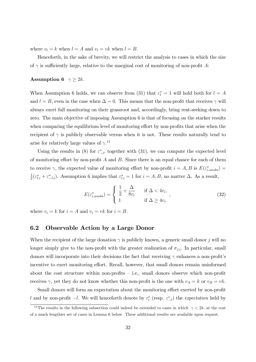where  $v_l = k$  when  $l = A$  and  $v_l = vk$  when  $l = B$ .

Henceforth, in the sake of brevity, we will restrict the analysis to cases in which the size of  $\gamma$  is sufficiently large, relative to the marginal cost of monitoring of non-profit A:

#### **Assumption 6**  $\gamma \geq 2k$ .

When Assumption 6 holds, we can observe from (31) that  $\varepsilon_l^* = 1$  will hold both for  $l = A$ and  $l = B$ , even in the case when  $\Delta = 0$ . This means that the non-profit that receives  $\gamma$  will always exert full monitoring on their grassroot and, accordingly, bring rent-seeking down to zero. The main objective of imposing Assumption 6 is that of focusing on the starker results when comparing the equilibrium level of monitoring effort by non-profits that arise when the recipient of  $\gamma$  is publicly observable versus when it is not. These results naturally tend to arise for relatively large values of  $\gamma$ .<sup>12</sup>

Using the results in (8) for  $\varepsilon_{-l}^*$ , together with (31), we can compute the expected level of monitoring effort by non-profit  $A$  and  $B$ . Since there is an equal chance for each of them to receive  $\gamma$ , the expected value of monitoring effort by non-profit  $i = A, B$  is  $E(\varepsilon_{i,unobs}^{*}) =$  $\frac{1}{2}(\varepsilon_{l,i}^* + \varepsilon_{-l,i}^*)$ . Assumption 6 implies that  $\varepsilon_{l,i}^* = 1$  for  $i = A, B$ , no matter  $\Delta$ . As a result,

$$
E(\varepsilon_{i,unobs}^*) = \begin{cases} \frac{1}{2} + \frac{\Delta}{8v_i} & \text{if } \Delta < 4v_i, \\ 1 & \text{if } \Delta \ge 4v_i. \end{cases}
$$
 (32)

where  $v_i = k$  for  $i = A$  and  $v_i = vk$  for  $i = B$ .

## 6.2 Observable Action by a Large Donor

When the recipient of the large donation  $\gamma$  is publicly known, a generic small donor *j* will no longer simply give to the non-profit with the greater realization of  $\sigma_{j,i}$ . In particular, small donors will incorporate into their decisions the fact that receiving  $\gamma$  enhances a non-profit's incentive to exert monitoring effort. Recall, however, that small donors remain uninformed about the cost structure within non-profits  $-$  i.e., small donors observe which non-profit receives  $\gamma$ , yet they do not know whether this non-profit is the one with  $v_A = k$  or  $v_B = vk$ .

Small donors will form an expectation about the monitoring effort exerted by non-profit *l* and by non-profit  $-l$ . We will henceforth denote by  $\varepsilon_l^e$  (resp.  $\varepsilon_{-l}^e$ ) the *expectation* held by

<sup>&</sup>lt;sup>12</sup>The results in the following subsection could indeed be extended to cases in which  $\gamma < 2k$ , at the cost of a much lengthier set of cases in Lemma 6 below. These additional results are available upon request.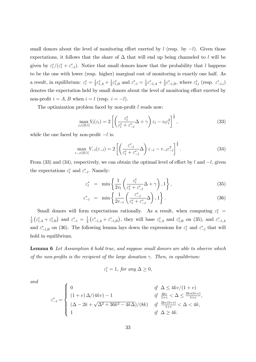small donors about the level of monitoring effort exerted by  $l$  (resp. by  $-l$ ). Given those expectations, it follows that the share of  $\Delta$  that will end up being channeled to *l* will be given by  $\varepsilon_l^e / (\varepsilon_l^e + \varepsilon_{-l}^e)$ . Notice that small donors know that the probability that *l* happens to be the one with lower (resp. higher) marginal cost of monitoring is exactly one half. As a result, in equilibrium:  $\varepsilon_l^e = \frac{1}{2} \varepsilon_{l,A}^e + \frac{1}{2} \varepsilon_{l,B}^e$  and  $\varepsilon_{-l}^e = \frac{1}{2} \varepsilon_{-l,A}^e + \frac{1}{2} \varepsilon_{-l,B}^e$ , where  $\varepsilon_{l,i}^e$  (resp.  $\varepsilon_{-l,i}^e$ ) denotes the expectation held by small donors about the level of monitoring effort exerted by non-profit  $i = A, B$  when  $i = l$  (resp.  $i = -l$ ).

The optimization problem faced by non-profit *l* reads now:

$$
\max_{\varepsilon_l \in [0,1]} V_l(\varepsilon_l) = 2 \left[ \left( \frac{\varepsilon_l^e}{\varepsilon_l^e + \varepsilon_{-l}^e} \Delta + \gamma \right) \varepsilon_l - v_l \varepsilon_l^2 \right]^{\frac{1}{2}},\tag{33}
$$

while the one faced by non-profit  $-l$  is:

$$
\max_{\varepsilon_{-l}\in[0,1]} V_{-l}(\varepsilon_{-l}) = 2 \left[ \left( \frac{\varepsilon_{-l}^e}{\varepsilon_l^e + \varepsilon_{-l}^e} \Delta \right) \varepsilon_{-l} - v_{-l} \varepsilon_{-l}^2 \right]^{\frac{1}{2}}.
$$
\n(34)

From (33) and (34), respectively, we can obtain the optimal level of effort by *l* and  $-l$ , given the expectations  $\varepsilon_l^e$  and  $\varepsilon_{-l}^e$ . Namely:

$$
\varepsilon_l^* = \min\left\{\frac{1}{2v_l}\left(\frac{\varepsilon_l^e}{\varepsilon_l^e + \varepsilon_{-l}^e}\Delta + \gamma\right), 1\right\},\tag{35}
$$

$$
\varepsilon_{-l}^* = \min\left\{\frac{1}{2v_{-l}}\left(\frac{\varepsilon_{-l}^e}{\varepsilon_l^e + \varepsilon_{-l}^e}\Delta\right), 1\right\}.
$$
\n(36)

Small donors will form expectations rationally. As a result, when computing  $\varepsilon_l^e$  = 1  $\frac{1}{2}\left(\varepsilon_{l,A}^e + \varepsilon_{l,B}^e\right)$  and  $\varepsilon_{-l}^e = \frac{1}{2}\left(\varepsilon_{-l,A}^e + \varepsilon_{-l,B}^e\right)$ , they will base  $\varepsilon_{l,A}^e$  and  $\varepsilon_{l,B}^e$  on (35), and  $\varepsilon_{-l,A}^e$ and  $\varepsilon_{-l,B}^e$  on (36). The following lemma lays down the expressions for  $\varepsilon_l^e$  and  $\varepsilon_{-l}^e$  that will hold in equilibrium.

Lemma 6 *Let Assumption 6 hold true, and suppose small donors are able to observe which of the non-profits is the recipient of the large donation*  $\gamma$ *. Then, in equilibrium:* 

$$
\varepsilon_l^e=1, \text{ for any }\Delta\geq 0,
$$

*and*

$$
\varepsilon_{-l}^{e} = \begin{cases}\n0 & \text{if } \Delta \le 4kv/(1+v) \\
(1+v)\Delta/(4kv) - 1 & \text{if } \frac{4kv}{1+v} < \Delta \le \frac{2kv(3+v)}{1+v}, \\
(\Delta - 2k + \sqrt{\Delta^2 + 36k^2 - 4k\Delta})/(8k) & \text{if } \frac{2kv(3+v)}{1+v} < \Delta < 4k, \\
1 & \text{if } \Delta \ge 4k.\n\end{cases}
$$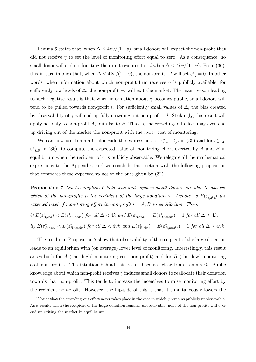Lemma 6 states that, when  $\Delta \leq 4kv/(1+v)$ , small donors will expect the non-profit that did not receive  $\gamma$  to set the level of monitoring effort equal to zero. As a consequence, no small donor will end up donating their unit resource to  $-l$  when  $\Delta \leq 4kv/(1+v)$ . From (36), this in turn implies that, when  $\Delta \leq 4kv/(1+v)$ , the non-profit  $-l$  will set  $\varepsilon_{-l}^* = 0$ . In other words, when information about which non-profit firm receives  $\gamma$  is publicly available, for sufficiently low levels of  $\Delta$ , the non-profit  $-l$  will exit the market. The main reason leading to such negative result is that, when information about  $\gamma$  becomes public, small donors will tend to be pulled towards non-profit *l*. For sufficiently small values of  $\Delta$ , the bias created by observability of  $\gamma$  will end up fully crowding out non-profit  $-l$ . Strikingly, this result will apply not only to non-profit  $A$ , but also to  $B$ . That is, the crowding-out effect may even end up driving out of the market the non-profit with the *lower* cost of monitoring.13

We can now use Lemma 6, alongside the expressions for  $\varepsilon_{l,A}^*$ ,  $\varepsilon_{l,B}^*$  in (35) and for  $\varepsilon_{-l,A}^*$ ,  $\varepsilon^*_{-l,B}$  in (36), to compute the expected value of monitoring effort exerted by *A* and *B* in equilibrium when the recipient of  $\gamma$  is publicly observable. We relegate all the mathematical expressions to the Appendix, and we conclude this section with the following proposition that compares those expected values to the ones given by (32).

Proposition 7 *Let Assumption 6 hold true and suppose small donors are able to observe which of the non-profits is the recipient of the large donation*  $\gamma$ . Denote by  $E(\varepsilon_{i,obs}^*)$  the *expected level of monitoring effort in non-profit*  $i = A, B$  *in equilibrium. Then:* 

$$
i) E(\varepsilon_{A,obs}^*) < E(\varepsilon_{A,unobs}^*) \text{ for all } \Delta < 4k \text{ and } E(\varepsilon_{A,obs}^*) = E(\varepsilon_{A,unobs}^*) = 1 \text{ for all } \Delta \ge 4k.
$$
  

$$
ii) E(\varepsilon_{B,obs}^*) < E(\varepsilon_{B,unobs}^*) \text{ for all } \Delta < 4vk \text{ and } E(\varepsilon_{B,obs}^*) = E(\varepsilon_{B,unobs}^*) = 1 \text{ for all } \Delta \ge 4vk.
$$

The results in Proposition 7 show that observability of the recipient of the large donation leads to an equilibrium with (on average) lower level of monitoring. Interestingly, this result arises both for *A* (the 'high' monitoring cost non-profit) and for *B* (the 'low' monitoring cost non-profit). The intuition behind this result becomes clear from Lemma 6. Public knowledge about which non-profit receives  $\gamma$  induces small donors to reallocate their donation towards that non-profit. This tends to increase the incentives to raise monitoring effort by the recipient non-profit. However, the flip-side of this is that it simultaneously lowers the

<sup>&</sup>lt;sup>13</sup>Notice that the crowding-out effect never takes place in the case in which  $\gamma$  remains publicly unobservable. As a result, when the recipient of the large donation remains unobservable, none of the non-profits will ever end up exiting the market in equilibrium.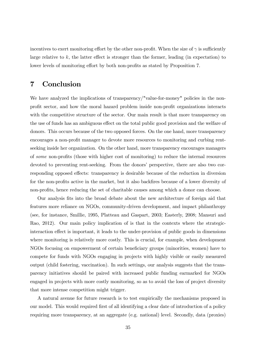incentives to exert monitoring effort by the other non-profit. When the size of  $\gamma$  is sufficiently large relative to  $k$ , the latter effect is stronger than the former, leading (in expectation) to lower levels of monitoring effort by both non-profits as stated by Proposition 7.

## 7 Conclusion

We have analyzed the implications of transparency/"value-for-money" policies in the nonprofit sector, and how the moral hazard problem inside non-profit organizations interacts with the competitive structure of the sector. Our main result is that more transparency on the use of funds has an ambiguous effect on the total public good provision and the welfare of donors. This occurs because of the two opposed forces. On the one hand, more transparency encourages a non-profit manager to devote more resources to monitoring and curbing rentseeking inside her organization. On the other hand, more transparency encourages managers of *some* non-profits (those with higher cost of monitoring) to reduce the internal resources devoted to preventing rent-seeking. From the donors' perspective, there are also two corresponding opposed effects: transparency is desirable because of the reduction in diversion for the non-profits active in the market, but it also backfires because of a lower diversity of non-profits, hence reducing the set of charitable causes among which a donor can choose.

Our analysis fits into the broad debate about the new architecture of foreign aid that features more reliance on NGOs, community-driven development, and impact philanthropy (see, for instance, Smillie, 1995, Platteau and Gaspart, 2003; Easterly, 2008; Mansuri and Rao, 2012). Our main policy implication of is that in the contexts where the strategicinteraction effect is important, it leads to the under-provision of public goods in dimensions where monitoring is relatively more costly. This is crucial, for example, when development NGOs focusing on empowerment of certain beneficiary groups (minorities, women) have to compete for funds with NGOs engaging in projects with highly visible or easily measured output (child fostering, vaccination). In such settings, our analysis suggests that the transparency initiatives should be paired with increased public funding earmarked for NGOs engaged in projects with more costly monitoring, so as to avoid the loss of project diversity that more intense competition might trigger.

A natural avenue for future research is to test empirically the mechanisms proposed in our model. This would required first of all identifying a clear date of introduction of a policy requiring more transparency, at an aggregate (e.g. national) level. Secondly, data (proxies)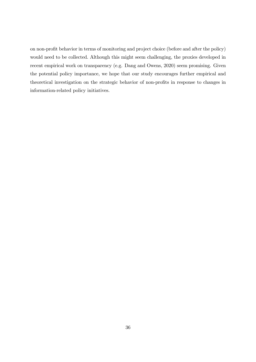on non-profit behavior in terms of monitoring and project choice (before and after the policy) would need to be collected. Although this might seem challenging, the proxies developed in recent empirical work on transparency (e.g. Dang and Owens, 2020) seem promising. Given the potential policy importance, we hope that our study encourages further empirical and theoretical investigation on the strategic behavior of non-profits in response to changes in information-related policy initiatives.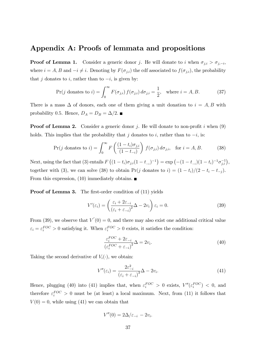## Appendix A: Proofs of lemmata and propositions

**Proof of Lemma 1.** Consider a generic donor *j*. He will donate to *i* when  $\sigma_{j,i} > \sigma_{j,-i}$ , where  $i = A, B$  and  $-i \neq i$ . Denoting by  $F(\sigma_{j,i})$  the cdf associated to  $f(\sigma_{j,i})$ , the probability that *j* donates to *i*, rather than to  $-i$ , is given by:

$$
\Pr(j \text{ donates to } i) = \int_0^\infty F(\sigma_{j,i}) f(\sigma_{j,i}) d\sigma_{j,i} = \frac{1}{2}, \text{ where } i = A, B. \tag{37}
$$

There is a mass  $\Delta$  of donors, each one of them giving a unit donation to  $i = A, B$  with probability 0.5. Hence, *D<sub>A</sub>* = *D<sub>B</sub>* =  $\Delta/2$ . ■

Proof of Lemma 2. Consider a generic donor *j*. He will donate to non-profit *i* when (9) holds. This implies that the probability that *j* donates to *i*, rather than to  $-i$ , is:

$$
\Pr(j \text{ donates to } i) = \int_0^\infty F\left(\frac{(1 - t_i)\sigma_{j,i}}{(1 - t_{-i})}\right) f(\sigma_{j,i}) d\sigma_{j,i}, \text{ for } i = A, B. \tag{38}
$$

Next, using the fact that (3) entails  $F((1-t_i)\sigma_{j,i}(1-t_{-i})^{-1}) = \exp(-(1-t_{-i})(1-t_i)^{-1}\sigma_{j,i}^{-1}),$ together with (3), we can solve (38) to obtain  $Pr(j \text{ donates to } i) = (1 - t_i)/(2 - t_i - t_{-j}).$ From this expression, (10) immediately obtains.  $\blacksquare$ 

**Proof of Lemma 3.** The first-order condition of (11) yields

$$
V'(\varepsilon_i) = \left(\frac{\varepsilon_i + 2\varepsilon_{-i}}{(\varepsilon_i + \varepsilon_{-i})^2} \Delta - 2v_i\right) \varepsilon_i = 0.
$$
 (39)

From (39), we observe that  $V'(0) = 0$ , and there may also exist one additional critical value  $\varepsilon_i = \varepsilon_i^{FOC} > 0$  satisfying it. When  $\varepsilon_i^{FOC} > 0$  exists, it satisfies the condition:

$$
\frac{\varepsilon_i^{FOC} + 2\varepsilon_{-i}}{\left(\varepsilon_i^{FOC} + \varepsilon_{-i}\right)^2} \Delta = 2v_i.
$$
\n(40)

Taking the second derivative of  $V_i(\cdot)$ , we obtain:

$$
V''(\varepsilon_i) = \frac{2\varepsilon_{-i}^2}{(\varepsilon_i + \varepsilon_{-i})^3} \Delta - 2v_i.
$$
\n(41)

Hence, plugging (40) into (41) implies that, when  $\varepsilon_i^{FOC} > 0$  exists,  $V''(\varepsilon_i^{FOC}) < 0$ , and therefore  $\varepsilon_i^{FOC} > 0$  must be (at least) a local maximum. Next, from (11) it follows that  $V(0) = 0$ , while using (41) we can obtain that

$$
V''(0) = 2\Delta/\varepsilon_{-i} - 2v_i.
$$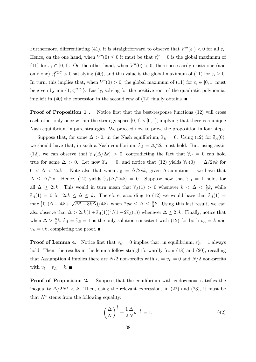Furthermore, differentiating (41), it is straightforward to observe that  $V'''(\varepsilon_i) < 0$  for all  $\varepsilon_i$ . Hence, on the one hand, when  $V''(0) \leq 0$  it must be that  $\varepsilon_i^{br} = 0$  is the global maximum of (11) for  $\varepsilon_i \in [0,1]$ . On the other hand, when  $V''(0) > 0$ , there necessarily exists one (and only one)  $\varepsilon_i^{FOC} > 0$  satisfying (40), and this value is the global maximum of (11) for  $\varepsilon_i \geq 0$ . In turn, this implies that, when  $V''(0) > 0$ , the global maximum of (11) for  $\varepsilon_i \in [0,1]$  must be given by  $\min\{1, \varepsilon_i^{FOC}\}\$ . Lastly, solving for the positive root of the quadratic polynomial implicit in (40) the expression in the second row of (12) finally obtains.

**Proof of Proposition 1.** Notice first that the best-response functions (12) will cross each other only once within the strategy space  $[0, 1] \times [0, 1]$ , implying that there is a unique Nash equilibrium in pure strategies. We proceed now to prove the proposition in four steps.

Suppose that, for some  $\Delta > 0$ , in the Nash equilibrium,  $\hat{\varepsilon}_B = 0$ . Using (12) for  $\hat{\varepsilon}_A(0)$ , we should have that, in such a Nash equilibrium,  $\hat{\epsilon}_A = \Delta/2k$  must hold. But, using again (12), we can observe that  $\widehat{\epsilon}_B(\Delta/2k) > 0$ , contradicting the fact that  $\widehat{\epsilon}_B = 0$  can hold true for some  $\Delta > 0$ . Let now  $\hat{\varepsilon}_A = 0$ , and notice that (12) yields  $\hat{\varepsilon}_B(0) = \Delta/2vk$  for  $0 < \Delta < 2vk$ . Note also that when  $\varepsilon_B = \Delta/2vk$ , given Assumption 1, we have that  $\Delta \leq \Delta/2v$ . Hence, (12) yields  $\widehat{\varepsilon}_A(\Delta/2vk)=0$ . Suppose now that  $\widehat{\varepsilon}_B=1$  holds for all  $\Delta \geq 2vk$ . This would in turn mean that  $\widehat{\varepsilon}_A(1) > 0$  whenever  $k < \Delta < \frac{8}{3}k$ , while  $\widehat{\epsilon}_A(1) = 0$  for  $2vk \leq \Delta \leq k$ . Therefore, according to (12) we would have that  $\widehat{\epsilon}_A(1) =$  $\max\left\{0, (\Delta - 4k + \sqrt{\Delta^2 + 8k\Delta})/4k\right\}$  when  $2vk \leq \Delta \leq \frac{8}{3}k$ . Using this last result, we can also observe that  $\Delta > 2vk(1 + \widehat{\epsilon}_A(1))^2/(1 + 2\widehat{\epsilon}_A(1))$  whenever  $\Delta \geq 2vk$ . Finally, notice that when  $\Delta > \frac{8}{3}k$ ,  $\hat{\epsilon}_A = \hat{\epsilon}_B = 1$  is the only solution consistent with (12) for both  $v_A = k$  and  $v_B = vk$ , completing the proof.

**Proof of Lemma 4.** Notice first that  $v_B = 0$  implies that, in equilibrium,  $\varepsilon_B^* = 1$  always hold. Then, the results in the lemma follow straightforwardly from  $(18)$  and  $(20)$ , recalling that Assumption 4 implies there are  $N/2$  non-profits with  $v_i = v_B = 0$  and  $N/2$  non-profits with  $v_i = v_A = k$ .

Proof of Proposition 2. Suppose that the equilibrium with endogenous satisfies the inequality  $\Delta/2N^* < k$ . Then, using the relevant expressions in (22) and (23), it must be that  $N^*$  stems from the following equality:

$$
\left(\frac{\Delta}{N}\right)^{\frac{1}{2}} + \frac{1}{2}\frac{\Delta}{N}k^{-\frac{1}{2}} = 1.
$$
\n(42)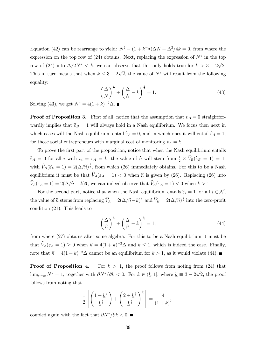Equation (42) can be rearrange to yield:  $N^2 - (1 + k^{-\frac{1}{2}})\Delta N + \Delta^2/4k = 0$ , from where the expression on the top row of  $(24)$  obtains. Next, replacing the expression of  $N^*$  in the top row of (24) into  $\Delta/2N^* < k$ , we can observe that this only holds true for  $k > 3 - 2\sqrt{2}$ . This in turn means that when  $k \leq 3 - 2\sqrt{2}$ , the value of  $N^*$  will result from the following equality:

$$
\left(\frac{\Delta}{N}\right)^{\frac{1}{2}} + \left(\frac{\Delta}{N} - k\right)^{\frac{1}{2}} = 1.
$$
\n(43)

Solving (43), we get  $N^* = 4(1 + k)^{-2} \Delta$ .

**Proof of Proposition 3.** First of all, notice that the assumption that  $v_B = 0$  straightforwardly implies that  $\hat{\epsilon}_B = 1$  will always hold in a Nash equilibrium. We focus then next in which cases will the Nash equilibrium entail  $\widehat{\varepsilon}_A = 0$ , and in which ones it will entail  $\widehat{\varepsilon}_A = 1$ , for those social entrepreneurs with marginal cost of monitoring  $v_A = k$ .

To prove the first part of the proposition, notice that when the Nash equilibrium entails  $\widehat{\epsilon}_A = 0$  for all *i* with  $v_i = v_A = k$ , the value of  $\widehat{n}$  will stem from  $\frac{1}{2} \times \widehat{V}_B(\widehat{\epsilon}_B = 1) = 1$ , with  $\widehat{V}_B(\widehat{\varepsilon}_B = 1) = 2(\Delta/\widehat{n})^{\frac{1}{2}}$ , from which (26) immediately obtains. For this to be a Nash equilibrium it must be that  $\widehat{V}_A(\varepsilon_A = 1) < 0$  when  $\widehat{n}$  is given by (26). Replacing (26) into  $\widehat{V}_A(\varepsilon_A = 1) = 2(\Delta/\widehat{n} - k)^{\frac{1}{2}}$ , we can indeed observe that  $\widehat{V}_A(\varepsilon_A = 1) < 0$  when  $k > 1$ .

For the second part, notice that when the Nash equilibrium entails  $\hat{\varepsilon}_i = 1$  for all  $i \in \mathcal{N}$ , the value of  $\hat{n}$  stems from replacing  $\hat{V}_A = 2(\Delta/\hat{n} - k)^{\frac{1}{2}}$  and  $\hat{V}_B = 2(\Delta/\hat{n})^{\frac{1}{2}}$  into the zero-profit condition (21). This leads to

$$
\left(\frac{\Delta}{\widehat{n}}\right)^{\frac{1}{2}} + \left(\frac{\Delta}{\widehat{n}} - k\right)^{\frac{1}{2}} = 1,\tag{44}
$$

from where (27) obtains after some algebra. For this to be a Nash equilibrium it must be that  $\widehat{V}_A(\varepsilon_A = 1) \ge 0$  when  $\widehat{n} = 4(1 + k)^{-2}\Delta$  and  $k \le 1$ , which is indeed the case. Finally, note that  $\hat{n} = 4(1 + k)^{-2}\Delta$  cannot be an equilibrium for  $k > 1$ , as it would violate (44).

**Proof of Proposition 4.** For  $k > 1$ , the proof follows from noting from (24) that  $\lim_{k\to\infty} N^* = 1$ , together with  $\partial N^*/\partial k < 0$ . For  $k \in (\underline{k}, 1]$ , where  $\underline{k} \equiv 3 - 2\sqrt{2}$ , the proof follows from noting that

$$
\frac{1}{2}\left[\left(\frac{1+k^{\frac{1}{2}}}{\underline{k}^{\frac{1}{2}}}\right)+\left(\frac{2+\underline{k}^{\frac{1}{2}}}{\underline{k}^{\frac{1}{2}}}\right)^{\frac{1}{2}}\right]=\frac{4}{(1+\underline{k})^2},
$$

coupled again with the fact that  $\partial N^*/\partial k < 0$ .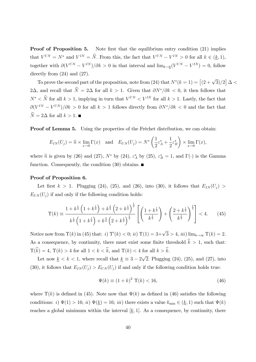**Proof of Proposition 5.** Note first that the equilibrium entry condition (21) implies that  $V^{UN} = N^*$  and  $V^{IN} = \hat{N}$ . From this, the fact that  $V^{UN} - V^{IN} > 0$  for all  $k \in (\underline{k}, 1)$ , together with  $\partial (V^{UN} - V^{IN})/\partial k > 0$  in that interval and  $\lim_{k \to k} (V^{UN} - V^{IN}) = 0$ , follow directly from  $(24)$  and  $(27)$ .

To prove the second part of the proposition, note from (24) that  $N^*(k=1) = \left[ (2 + \sqrt{3})/2 \right] \Delta <$ 2 $\Delta$ , and recall that  $\widehat{N} = 2\Delta$  for all  $k > 1$ . Given that  $\partial N^*/\partial k < 0$ , it then follows that  $N^* < \widehat{N}$  for all  $k > 1$ , implying in turn that  $V^{UN} < V^{IN}$  for all  $k > 1$ . Lastly, the fact that  $\partial (V^{IN} - V^{UN})/\partial k > 0$  for all  $k > 1$  follows directly from  $\partial N^*/\partial k < 0$  and the fact that  $\widehat{N} = 2\Delta$  for all  $k > 1$ .

Proof of Lemma 5. Using the properties of the Fréchet distribution, we can obtain:

$$
E_{IN}(U_j) = \widehat{n} \times \lim_{x \to 0} \Gamma(x) \quad \text{and} \quad E_{UN}(U_j) = N^* \left( \frac{1}{2} \varepsilon_A^* + \frac{1}{2} \varepsilon_B^* \right) \times \lim_{x \to 0} \Gamma(x),
$$

where  $\hat{n}$  is given by (26) and (27),  $N^*$  by (24),  $\varepsilon_A^*$  by (25),  $\varepsilon_B^* = 1$ , and  $\Gamma(\cdot)$  is the Gamma function. Consequently, the condition  $(30)$  obtains.

#### Proof of Proposition 6.

Let first  $k > 1$ . Plugging (24), (25), and (26), into (30), it follows that  $E_{IN}(U_j)$  $E_{UN}(U_j)$  if and only if the following condition holds:

$$
\Upsilon(k) \equiv \frac{1 + k^{\frac{1}{2}} \left( 1 + k^{\frac{1}{2}} \right) + k^{\frac{3}{4}} \left( 2 + k^{\frac{1}{2}} \right)^{\frac{1}{2}}}{k^{\frac{1}{2}} \left( 1 + k^{\frac{1}{2}} \right) + k^{\frac{3}{4}} \left( 2 + k^{\frac{1}{2}} \right)^{\frac{1}{2}}} \left[ \left( \frac{1 + k^{\frac{1}{2}}}{k^{\frac{1}{2}}} \right) + \left( \frac{2 + k^{\frac{1}{2}}}{k^{\frac{1}{2}}} \right)^{\frac{1}{2}} \right] < 4. \tag{45}
$$

Notice now from  $\Upsilon(k)$  in (45) that: *i*)  $\Upsilon'(k) < 0$ ; *ii*)  $\Upsilon(1) = 3 + \sqrt{3} > 4$ , *iii*) lim<sub>*k* $\rightarrow \infty$ </sub>  $\Upsilon(k) = 2$ . As a consequence, by continuity, there must exist some finite threshold  $\hat{k} > 1$ , such that:  $\Upsilon(\hat{k})=4, \ \Upsilon(k)>4$  for all  $1 < k < \hat{k}$ , and  $\Upsilon(k) < 4$  for all  $k > \hat{k}$ .

Let now  $\underline{k} < k < 1$ , where recall that  $\underline{k} \equiv 3 - 2\sqrt{2}$ . Plugging (24), (25), and (27), into (30), it follows that  $E_{IN}(U_i) > E_{UN}(U_i)$  if and only if the following condition holds true:

$$
\Psi(k) \equiv (1+k)^2 \Upsilon(k) < 16,\tag{46}
$$

where  $\Upsilon(k)$  is defined in (45). Note now that  $\Psi(k)$  as defined in (46) satisfies the following conditions: *i*)  $\Psi(1) > 16$ ; *ii*)  $\Psi(\underline{k}) = 16$ ; *iii*) there exists a value  $k_{\min} \in (\underline{k}, 1)$  such that  $\Psi(k)$ reaches a global minimum within the interval  $[k, 1]$ . As a consequence, by continuity, there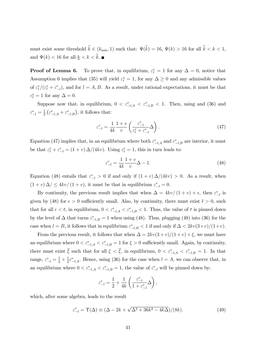must exist some threshold  $\widetilde{k} \in (k_{\min}, 1)$  such that:  $\Psi(\widetilde{k}) = 16$ ,  $\Psi(k) > 16$  for all  $\widetilde{k} < k < 1$ , and  $\Psi(k) < 16$  for all  $k < k < \tilde{k}$ .

**Proof of Lemma 6.** To prove that, in equilibrium,  $\varepsilon_l^e = 1$  for any  $\Delta = 0$ , notice that Assumption 6 implies that (35) will yield  $\varepsilon_l^* = 1$ , for any  $\Delta \geq 0$  and any admissible values of  $\varepsilon_l^e/(\varepsilon_l^e + \varepsilon_{-l}^e)$ , and for  $l = A, B$ . As a result, under rational expectations, it must be that  $\varepsilon_l^e = 1$  for any  $\Delta = 0$ .

Suppose now that, in equilibrium,  $0 < \varepsilon_{-l,A}^e < \varepsilon_{-l,B}^e < 1$ . Then, using and (36) and  $\varepsilon_{-l}^e = \frac{1}{2} \left( \varepsilon_{-l,A}^e + \varepsilon_{-l,B}^e \right)$ , it follows that:

$$
\varepsilon_{-l}^{e} = \frac{1}{4k} \frac{1+v}{v} \left( \frac{\varepsilon_{-l}^{e}}{\varepsilon_{l}^{e} + \varepsilon_{-l}^{e}} \Delta \right). \tag{47}
$$

Equation (47) implies that, in an equilibrium where both  $\varepsilon^e_{-l,A}$  and  $\varepsilon^e_{-l,B}$  are interior, it must be that  $\varepsilon_l^e + \varepsilon_{-l}^e = (1 + v) \Delta/(4kv)$ . Using  $\varepsilon_l^e = 1$ , this in turn leads to:

$$
\varepsilon_{-l}^{e} = \frac{1}{4k} \frac{1+v}{v} \Delta - 1.
$$
\n(48)

Equation (48) entails that  $\varepsilon_{-l}^e > 0$  if and only if  $(1 + v) \Delta/(4kv) > 0$ . As a result, when  $(1 + v) \Delta / \leq 4kv / (1 + v)$ , it must be that in equilibrium  $\varepsilon_{-l}^e = 0$ .

By continuity, the previous result implies that when  $\Delta = 4kv/(1+v) + \epsilon$ , then  $\varepsilon_{-l}^e$  is given by (48) for  $\epsilon > 0$  sufficiently small. Also, by continuity, there must exist  $\bar{\epsilon} > 0$ , such that for all  $\epsilon < \bar{\epsilon}$ , in equilibrium,  $0 < \varepsilon^e_{-l,A} < \varepsilon^e_{-l,B} < 1$ . Thus, the value of  $\bar{\epsilon}$  is pinned down by the level of  $\Delta$  that turns  $\varepsilon^e_{-l,B} = 1$  when using (48). Thus, plugging (48) into (36) for the case when  $l = B$ , it follows that in equilibrium  $\varepsilon_{-l,B}^e < 1$  if and only if  $\Delta < 2kv(3+v)/(1+v)$ .

From the previous result, it follows that when  $\Delta = 2kv(3 + v)/(1 + v) + \xi$ , we must have an equilibrium where  $0 < \varepsilon^e_{-l,A} < \varepsilon^e_{-l,B} = 1$  for  $\xi > 0$  sufficiently small. Again, by continuity, there must exist  $\overline{\xi}$  such that for all  $\xi < \overline{\xi}$ , in equilibrium,  $0 < \varepsilon_{-l,A}^e < \varepsilon_{-l,B}^e = 1$ . In that range,  $\varepsilon_{-l}^e = \frac{1}{2} + \frac{1}{2}\varepsilon_{-l,A}^e$ . Hence, using (36) for the case when  $l = A$ , we can observe that, in an equilibrium where  $0 < \varepsilon_{-l,A}^e < \varepsilon_{-l,B}^e = 1$ , the value of  $\varepsilon_{-l}^e$  will be pinned down by:

$$
\varepsilon_{-l}^{e}=\frac{1}{2}+\frac{1}{4k}\left(\frac{\varepsilon_{-l}^{e}}{1+\varepsilon_{-l}^{e}}\Delta\right),
$$

which, after some algebra, leads to the result

$$
\varepsilon_{-l}^e = \Upsilon(\Delta) \equiv (\Delta - 2k + \sqrt{\Delta^2 + 36k^2 - 4k\Delta})/(8k). \tag{49}
$$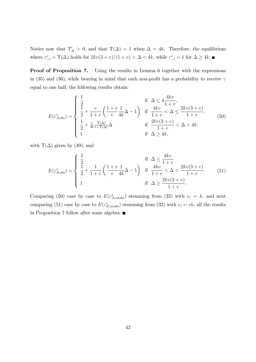Notice now that  $\Upsilon'_{\Delta} > 0$ , and that  $\Upsilon(\Delta) = 1$  when  $\Delta = 4k$ . Therefore, the equilibrium where  $\varepsilon_{-l}^e = \Upsilon(\Delta)$  holds for  $2kv(3+v)/(1+v) < \Delta < 4k$ , while  $\varepsilon_{-l}^e = 1$  for  $\Delta \ge 4k$ .

Proof of Proposition 7. Using the results in Lemma 6 together with the expressions in (35) and (36), while bearing in mind that each non-profit has a probability to receive  $\gamma$ equal to one half, the following results obtain:

$$
E(\varepsilon_{A,obs}^*) = \begin{cases} \frac{1}{2} & \text{if } \Delta \le 4\frac{4kv}{1+v}, \\ \frac{1}{2} + \frac{v}{1+v} \left(\frac{1+v}{v}\frac{1}{4k}\Delta - 1\right) & \text{if } \frac{4kv}{1+v} < \Delta \le \frac{2kv(3+v)}{1+v}, \\ \frac{1}{2} + \frac{1}{4k}\frac{\Upsilon(\Delta)}{1+\Upsilon(\Delta)}\Delta & \text{if } \frac{2kv(3+v)}{1+v} < \Delta < 4k, \\ 1 & \text{if } \Delta \ge 4k, \end{cases} \tag{50}
$$

with  $\Upsilon(\Delta)$  given by (49), and

$$
E(\varepsilon_{B,obs}^{*}) = \begin{cases} \frac{1}{2} & \text{if } \Delta \le \frac{4kv}{1+v} \\ \frac{1}{2} + \frac{1}{1+v} \left( \frac{1+v}{v} \frac{1}{4k} \Delta - 1 \right) & \text{if } \frac{4kv}{1+v} < \Delta < \frac{2kv(3+v)}{1+v}, \\ 1 & \text{if } \Delta \ge \frac{2kv(3+v)}{1+v}. \end{cases}
$$
(51)

Comparing (50) case by case to  $E(\varepsilon_{A,unobs}^{*})$  stemming from (32) with  $v_i = k$ , and next comparing (51) case by case to  $E(\varepsilon_{B,unobs}^{*})$  stemming from (32) with  $v_i = vk$ , all the results in Proposition 7 follow after some algebra.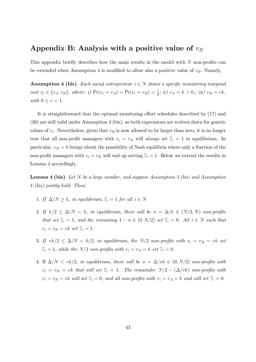## Appendix B: Analysis with a positive value of  $v_B$

This appendix briefly describes how the main results in the model with *N* non-profits can be extended when Assumption 4 is modified to allow also a positive value of  $v_B$ . Namely,

**Assumption 4 (bis)** *Each social entrepreneur*  $i \in N$  *draws a specific monitoring marginal* cost  $v_i \in \{v_A, v_B\}$ , where: i)  $Pr(v_i = v_A) = Pr(v_i = v_B) = \frac{1}{2}$ ; ii)  $v_A = k > 0$ .; iii)  $v_B = vk$ , *with*  $0 \leq v < 1$ *.* 

It is straightforward that the optimal monitoring effort schedules described by  $(17)$  and (20) are still valid under Assumption 4 (bis), as both expressions are written down for generic values of  $v_i$ . Nevertheless, given that  $v_B$  is now allowed to be larger than zero, it is no longer true that all non-profit managers with  $v_i = v_B$  will *always* set  $\hat{\varepsilon}_i = 1$  in equilibrium. In particular,  $v_B > 0$  brings about the possibility of Nash equilibria where only a fraction of the non-profit managers with  $v_i = v_B$  will end up setting  $\hat{\varepsilon}_i = 1$ . Below we extend the results in Lemma 4 accordingly.

Lemma 4 (bis) *Let N be a large number, and suppose Assumption 3 (bis) and Assumption* 4 *(bis) jointly hold. Then:*

- 1. If  $\Delta/N \geq k$ , in equilibrium,  $\hat{\epsilon}_i = 1$  for all  $i \in N$
- 2. If  $k/2 \le \Delta/N < k$ , in equilibrium, there will be  $n = \Delta/k \in (N/2, N)$  non-profits *that set*  $\hat{\varepsilon}_i = 1$ *, and the remaining*  $1 - n \in (0, N/2)$  *set*  $\hat{\varepsilon}_i = 0$ *. All*  $i \in N$  *such that*  $v_i = v_B = vk$  *set*  $\widehat{\epsilon}_i = 1$ *.*
- 3. If  $vk/2 \leq \Delta/N < k/2$ , in equilibrium, the N/2 non-profits with  $v_i = v_B = vk$  set  $\hat{\epsilon}_i = 1$ *, while the*  $N/2$  *non-profits with*  $v_i = v_A = k$  *set*  $\hat{\epsilon}_i = 0$ *.*
- 4. If  $\Delta/N < v k/2$ , *in equilibrium, there will be*  $n = \Delta/vk \in (0, N/2)$  *non-profits with*  $v_i = v_B = vk$  *that will set*  $\hat{\epsilon}_i = 1$ *. The remainder*  $N/2 - (\Delta/vk)$  *non-profits with*  $v_i = v_B = vk$  *will set*  $\hat{\varepsilon}_i = 0$ *, and all non-profits with*  $v_i = v_A = k$  *and will set*  $\hat{\varepsilon}_i = 0$ *.*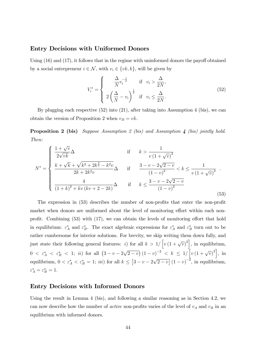#### Entry Decisions with Uniformed Donors

Using  $(16)$  and  $(17)$ , it follows that in the regime with uninformed donors the payoff obtained by a social entrepreneur  $i \in \mathcal{N}$ , with  $v_i \in \{vk, k\}$ , will be given by

$$
V_i^* = \begin{cases} \frac{\Delta}{N} v_i^{-\frac{1}{2}} & \text{if } v_i > \frac{\Delta}{2N},\\ 2\left(\frac{\Delta}{N} - v_i\right)^{\frac{1}{2}} & \text{if } v_i \le \frac{\Delta}{2N}. \end{cases}
$$
(52)

By plugging each respective (52) into (21), after taking into Assumption 4 (bis), we can obtain the version of Proposition 2 when  $v_B = vk$ .

Proposition 2 (bis) *Suppose Assumption 2 (bis) and Assumption 4 (bis) jointly hold. Then:*

$$
N^* = \begin{cases} \frac{1+\sqrt{v}}{2\sqrt{vk}}\Delta & \text{if } k > \frac{1}{v(1+\sqrt{v})^2} \\ \frac{k+\sqrt{k}+\sqrt{k^2+2k^{\frac{3}{2}}-k^2v}}{2k+2k^2v}\Delta & \text{if } \frac{3-v-2\sqrt{2-v}}{(1-v)^2} < k \le \frac{1}{v(1+\sqrt{v})^2} \\ \frac{4}{(1+k)^2+kv(kv+2-2k)}\Delta & \text{if } k \le \frac{3-v-2\sqrt{2-v}}{(1-v)^2} \end{cases}
$$
(53)

The expression in (53) describes the number of non-profits that enter the non-profit market when donors are uniformed about the level of monitoring effort within each nonprofit. Combining  $(53)$  with  $(17)$ , we can obtain the levels of monitoring effort that hold in equilibrium:  $\varepsilon_A^*$  and  $\varepsilon_B^*$ . The exact algebraic expressions for  $\varepsilon_A^*$  and  $\varepsilon_B^*$  turn out to be rather cumbersome for interior solutions. For brevity, we skip writing them down fully, and just state their following general features: *i*) for all  $k > 1/\left[v(1 + \sqrt{v})^2\right]$ , in equilibrium,  $0 < \varepsilon_A^* < \varepsilon_B^* < 1$ ; *ii*) for all  $(3 - v - 2\sqrt{2 - v})(1 - v)^{-2} < k \le 1/\left[v(1 + \sqrt{v})^2\right]$ , in equilibrium,  $0 < \varepsilon_A^* < \varepsilon_B^* = 1$ ; *iii*) for all  $k \leq [3 - v - 2\sqrt{2 - v}] (1 - v)^{-2}$ , in equilibrium,  $\varepsilon_A^* = \varepsilon_B^* = 1.$ 

#### Entry Decisions with Informed Donors

Using the result in Lemma 4 (bis), and following a similar reasoning as in Section 4.2, we can now describe how the number of *active* non-profits varies of the level of  $v_A$  and  $v_B$  in an equilibrium with informed donors.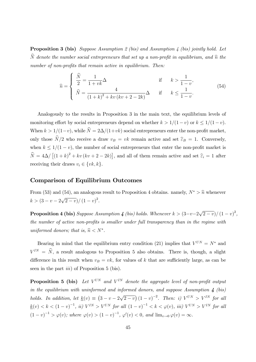Proposition 3 (bis) *Suppose Assumption 2 (bis) and Assumption 4 (bis) jointly hold. Let*  $\widehat{N}$  *denote the number social entrepreneurs that set up a non-profit in equilibrium, and*  $\widehat{n}$  *the number of non-profits that remain active in equilibrium. Then:*

$$
\widehat{n} = \begin{cases}\n\frac{\widehat{N}}{2} = \frac{1}{1 + vk} \Delta & \text{if } k > \frac{1}{1 - v}, \\
\widehat{N} = \frac{4}{(1 + k)^2 + kv(kv + 2 - 2k)} \Delta & \text{if } k \le \frac{1}{1 - v}.\n\end{cases}
$$
\n(54)

Analogously to the results in Proposition 3 in the main text, the equilibrium levels of monitoring effort by social entrepreneurs depend on whether  $k > 1/(1 - v)$  or  $k \leq 1/(1 - v)$ . When  $k > 1/(1-v)$ , while  $\hat{N} = 2\Delta/(1+vk)$  social entrepreneurs enter the non-profit market, only those  $\hat{N}/2$  who receive a draw  $v_B = vk$  remain active and set  $\hat{\epsilon}_B = 1$ . Conversely, when  $k \leq 1/(1 - v)$ , the number of social entrepreneurs that enter the non-profit market is  $\hat{N} = 4\Delta / [(1 + k)^2 + kv(kv + 2 - 2k)]$ , and all of them remain active and set  $\hat{\epsilon}_i = 1$  after receiving their draws  $v_i \in \{vk, k\}.$ 

#### Comparison of Equilibrium Outcomes

From (53) and (54), an analogous result to Proposition 4 obtains. namely,  $N^* > \hat{n}$  whenever  $k > (3 - v - 2\sqrt{2 - v})/(1 - v)^2.$ 

**Proposition 4 (bis)** Suppose Assumption 4 (bis) holds. Whenever  $k > (3-v-2\sqrt{2-v})/(1-v)^2$ , *the number of active non-profits is smaller under full transparency than in the regime with uniformed donors; that is,*  $\hat{n} \lt N^*$ .

Bearing in mind that the equilibrium entry condition (21) implies that  $V^{UN} = N^*$  and  $V^{IN} = \hat{N}$ , a result analogous to Proposition 5 also obtains. There is, though, a slight difference in this result when  $v_B = vk$ , for values of *k* that are sufficiently large, as can be seen in the part *iii*) of Proposition 5 (bis).

**Proposition 5 (bis)** Let  $V^{UN}$  and  $V^{IN}$  denote the aggregate level of non-profit output *in the equilibrium with uninformed and informed donors, and suppose Assumption 4 (bis) holds. In addition, let*  $\underline{k}(v) \equiv (3 - v - 2\sqrt{2 - v})(1 - v)^{-2}$ . Then: *i)*  $V^{UN} > V^{IN}$  for all  $k(v) < k < (1-v)^{-1}$ , *ii)*  $V^{IN} > V^{UN}$  for all  $(1-v)^{-1} < k < \varphi(v)$ , *iii)*  $V^{UN} > V^{IN}$  for all  $(1-v)^{-1} > \varphi(v)$ ; where  $\varphi(v) > (1-v)^{-1}$ ,  $\varphi'(v) < 0$ , and  $\lim_{v \to 0} \varphi(v) = \infty$ .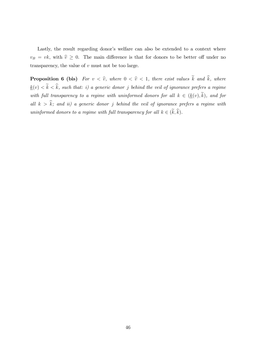Lastly, the result regarding donor's welfare can also be extended to a context where  $v_B = vk$ , with  $\hat{v} \geq 0$ . The main difference is that for donors to be better off under no transparency, the value of *v* must not be too large.

**Proposition 6 (bis)** *For*  $v < \hat{v}$ *, where*  $0 < \hat{v} < 1$ *, there exist values*  $\tilde{k}$  *and*  $\hat{k}$ *, where*  $k(v) < \tilde{k} < \hat{k}$ , such that: i) a generic donor *j* behind the veil of ignorance prefers a regime *with full transparency to a regime with uninformed donors for all*  $k \in (\underline{k}(v), \tilde{k})$ *, and for all*  $k > \hat{k}$ *;* and *ii*) a generic donor *j* behind the veil of ignorance prefers a regime with *uninformed donors to a regime with full transparency for all*  $k \in (\tilde{k}, \hat{k})$ *.*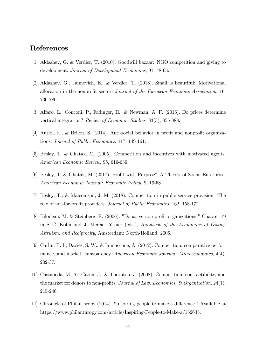## References

- [1] Aldashev, G. & Verdier, T. (2010). Goodwill bazaar: NGO competition and giving to development. *Journal of Development Economics*, 91, 48-63.
- [2] Aldashev, G., Jaimovich, E., & Verdier, T. (2018). Small is beautiful: Motivational allocation in the nonprofit sector. *Journal of the European Economic Association*, 16, 730-780.
- [3] Alfaro, L., Conconi, P., Fadinger, H., & Newman, A. F. (2016). Do prices determine vertical integration? *Review of Economic Studies*, 83(3), 855-888.
- [4] Auriol, E., & Brilon, S. (2014). Anti-social behavior in profit and nonprofit organizations. *Journal of Public Economics*, 117, 149-161.
- [5] Besley, T. & Ghatak, M. (2005). Competition and incentives with motivated agents. *American Economic Review,* 95, 616-636.
- [6] Besley, T. & Ghatak, M. (2017). Profit with Purpose? A Theory of Social Enterprise. *American Economic Journal: Economic Policy,* 9, 19-58.
- [7] Besley, T., & Malcomson, J. M. (2018). Competition in public service provision: The role of not-for-profit providers. *Journal of Public Economics*, 162, 158-172.
- [8] Bilodeau, M. & Steinberg, R. (2006). "Donative non-profit organizations." Chapter 19 in S.-C. Kolm and J. Mercier Ythier (eds.), *Handbook of the Economics of Giving, Altruism, and Reciprocity*, Amsterdam: North-Holland, 2006.
- [9] Carlin, B. I., Davies, S. W., & Iannaccone, A. (2012). Competition, comparative performance, and market transparency. *American Economic Journal: Microeconomics*, 4(4), 202-37.
- [10] Castaneda, M. A., Garen, J., & Thornton, J. (2008). Competition, contractibility, and the market for donors to non-profits. *Journal of Law, Economics, & Organization*, 24(1), 215-246.
- [11] Chronicle of Philanthropy  $(2014)$ . "Inspiring people to make a difference." Available at https://www.philanthropy.com/article/Inspiring-People-to-Make-a/152645.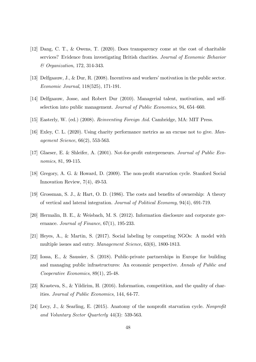- [12] Dang, C. T., & Owens, T. (2020). Does transparency come at the cost of charitable services? Evidence from investigating British charities. *Journal of Economic Behavior & Organization*, 172, 314-343.
- [13] Delfgaauw, J., & Dur, R. (2008). Incentives and workers' motivation in the public sector. *Economic Journal*, 118(525), 171-191.
- [14] Delfgaauw, Josse, and Robert Dur (2010). Managerial talent, motivation, and selfselection into public management. *Journal of Public Economics*, 94, 654—660.
- [15] Easterly, W. (ed.) (2008). *Reinventing Foreign Aid*. Cambridge, MA: MIT Press.
- [16] Exley, C. L. (2020). Using charity performance metrics as an excuse not to give. *Management Science*, 66(2), 553-563.
- [17] Glaeser, E. & Shleifer, A. (2001). Not-for-profit entrepreneurs. *Journal of Public Economics*, 81, 99-115.
- [18] Gregory, A. G. & Howard, D. (2009). The non-profit starvation cycle. Stanford Social Innovation Review, 7(4), 49-53.
- [19] Grossman, S. J., & Hart, O. D. (1986). The costs and benefits of ownership: A theory of vertical and lateral integration. *Journal of Political Economy*, 94(4), 691-719.
- [20] Hermalin, B. E., & Weisbach, M. S. (2012). Information disclosure and corporate governance. *Journal of Finance*, 67(1), 195-233.
- [21] Heyes, A., & Martin, S. (2017). Social labeling by competing NGOs: A model with multiple issues and entry. *Management Science*, 63(6), 1800-1813.
- [22] Iossa, E., & Saussier, S. (2018). Public-private partnerships in Europe for building and managing public infrastructures: An economic perspective. *Annals of Public and Cooperative Economics*, 89(1), 25-48.
- [23] Krasteva, S., & Yildirim, H. (2016). Information, competition, and the quality of charities. *Journal of Public Economics*, 144, 64-77.
- [24] Lecy, J., & Searling, E. (2015). Anatomy of the nonprofit starvation cycle. *Nonprofit and Voluntary Sector Quarterly* 44(3): 539-563.